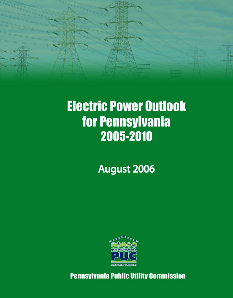

# **Electric Power Outlook for Pennsylvania** 2005-2010

August 2006



**Pennsylvania Public Utility Commission**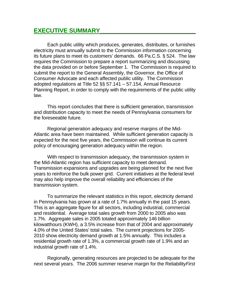### **EXECUTIVE SUMMARY\_\_\_\_\_\_\_\_\_\_\_\_\_\_\_\_\_\_\_\_\_\_\_\_\_\_\_\_\_**

Each public utility which produces, generates, distributes, or furnishes electricity must annually submit to the Commission information concerning its future plans to meet its customers' demands. 66 Pa.C.S. § 524. The law requires the Commission to prepare a report summarizing and discussing the data provided on or before September 1. The Commission is required to submit the report to the General Assembly, the Governor, the Office of Consumer Advocate and each affected public utility. The Commission adopted regulations at Title 52 §§ 57.141 – 57.154, Annual Resource Planning Report, in order to comply with the requirements of the public utility law.

This report concludes that there is sufficient generation, transmission and distribution capacity to meet the needs of Pennsylvania consumers for the foreseeable future.

Regional generation adequacy and reserve margins of the Mid-Atlantic area have been maintained. While sufficient generation capacity is expected for the next five years, the Commission will continue its current policy of encouraging generation adequacy within the region.

With respect to transmission adequacy, the transmission system in the Mid-Atlantic region has sufficient capacity to meet demand. Transmission expansions and upgrades are being planned for the next five years to reinforce the bulk power grid. Current initiatives at the federal level may also help improve the overall reliability and efficiencies of the transmission system.

To summarize the relevant statistics in this report, electricity demand in Pennsylvania has grown at a rate of 1.7% annually in the past 15 years. This is an aggregate figure for all sectors, including industrial, commercial and residential. Average total sales growth from 2000 to 2005 also was 1.7%. Aggregate sales in 2005 totaled approximately 146 billion kilowatthours (KWH), a 3.5% increase from that of 2004 and approximately 4.0% of the United States' total sales. The current projections for 2005- 2010 show electricity demand growth at 1.5% annually. This includes a residential growth rate of 1.3%, a commercial growth rate of 1.9% and an industrial growth rate of 1.4%.

Regionally, generating resources are projected to be adequate for the next several years. The 2006 summer reserve margin for the Reliability*First*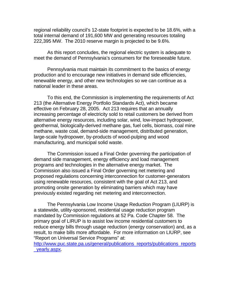regional reliability council's 12-state footprint is expected to be 18.6%, with a total internal demand of 191,600 MW and generating resources totaling 222,395 MW. The 2010 reserve margin is projected to be 9.6%.

As this report concludes, the regional electric system is adequate to meet the demand of Pennsylvania's consumers for the foreseeable future.

Pennsylvania must maintain its commitment to the basics of energy production and to encourage new initiatives in demand side efficiencies, renewable energy, and other new technologies so we can continue as a national leader in these areas.

To this end, the Commission is implementing the requirements of Act 213 (the Alternative Energy Portfolio Standards Act), which became effective on February 28, 2005. Act 213 requires that an annually increasing percentage of electricity sold to retail customers be derived from alternative energy resources, including solar, wind, low-impact hydropower, geothermal, biologically-derived methane gas, fuel cells, biomass, coal mine methane, waste coal, demand-side management, distributed generation, large-scale hydropower, by-products of wood-pulping and wood manufacturing, and municipal solid waste.

 The Commission issued a Final Order governing the participation of demand side management, energy efficiency and load management programs and technologies in the alternative energy market. The Commission also issued a Final Order governing net metering and proposed regulations concerning interconnection for customer-generators using renewable resources, consistent with the goal of Act 213, and promoting onsite generation by eliminating barriers which may have previously existed regarding net metering and interconnection.

 The Pennsylvania Low Income Usage Reduction Program (LIURP) is a statewide, utility-sponsored, residential usage reduction program mandated by Commission regulations at 52 Pa. Code Chapter 58. The primary goal of LIRUP is to assist low income residential customers to reduce energy bills through usage reduction (energy conservation) and, as a result, to make bills more affordable. For more information on LIURP, see "Report on Universal Service Programs" at:

[http://www.puc.state.pa.us/general/publications\\_reports/publications\\_reports](http://www.puc.state.pa.us/general/publications_reports/publications_reports_yearly.aspx) [\\_yearly.aspx.](http://www.puc.state.pa.us/general/publications_reports/publications_reports_yearly.aspx)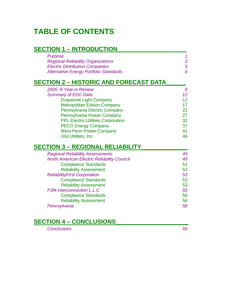## **TABLE OF CONTENTS**

## **SECTION 1 – INTRODUCTION\_\_\_\_\_\_\_\_\_\_\_\_\_\_\_\_\_\_\_\_\_**

| <b>Purpose</b><br><b>Regional Reliability Organizations</b><br><b>Electric Distribution Companies</b><br><b>Alternative Energy Portfolio Standards</b> | 1<br>$\overline{2}$<br>5<br>6 |
|--------------------------------------------------------------------------------------------------------------------------------------------------------|-------------------------------|
| <b>SECTION 2 - HISTORIC AND FORECAST DATA</b>                                                                                                          |                               |
| 2005: A Year in Review                                                                                                                                 | 9                             |
| <b>Summary of EDC Data</b>                                                                                                                             | 12 <sup>°</sup>               |
| <b>Duquesne Light Company</b>                                                                                                                          | 12 <sup>2</sup>               |
| <b>Metropolitan Edison Company</b>                                                                                                                     | 17                            |
| Pennsylvania Electric Company                                                                                                                          | 22                            |
| Pennsylvania Power Company                                                                                                                             | 27                            |
| <b>PPL Electric Utilities Corporation</b>                                                                                                              | 32                            |
| <b>PECO Energy Company</b>                                                                                                                             | 37                            |
| <b>West Penn Power Company</b>                                                                                                                         | 41                            |
| <b>UGI Utilities, Inc.</b>                                                                                                                             | 46                            |
| <b>SECTION 3 - REGIONAL RELIABILITY</b>                                                                                                                |                               |
| <b>Regional Reliability Assessments</b>                                                                                                                | 49                            |
| <b>North American Electric Reliability Council</b>                                                                                                     | 49                            |
| <b>Compliance Standards</b>                                                                                                                            | 51                            |
| <b>Reliability Assessment</b>                                                                                                                          | 52                            |
| <b>ReliabilityFirst Corporation</b>                                                                                                                    | 53                            |
| <b>Compliance Standards</b>                                                                                                                            | 53                            |
| <b>Reliability Assessment</b>                                                                                                                          | 53                            |
| PJM Interconnection L.L.C.                                                                                                                             | 55                            |
| <b>Compliance Standards</b>                                                                                                                            | 55                            |
| <b>Reliability Assessment</b>                                                                                                                          | 56                            |
| Pennsylvania                                                                                                                                           | 58                            |

## **SECTION 4 – CONCLUSIONS\_\_\_\_\_\_\_\_\_\_\_\_\_\_\_\_\_\_\_\_\_\_**

*Conclusions 59*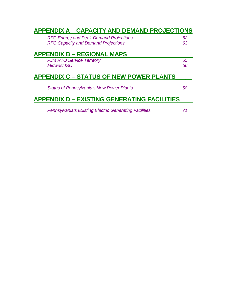| <b>APPENDIX A - CAPACITY AND DEMAND PROJECTIONS</b>           |    |
|---------------------------------------------------------------|----|
| <b>RFC Energy and Peak Demand Projections</b>                 | 62 |
| <b>RFC Capacity and Demand Projections</b>                    | 63 |
| <b>APPENDIX B – REGIONAL MAPS</b>                             |    |
| <b>PJM RTO Service Territory</b>                              | 65 |
| <b>Midwest ISO</b>                                            | 66 |
| <b>APPENDIX C - STATUS OF NEW POWER PLANTS</b>                |    |
| <b>Status of Pennsylvania's New Power Plants</b>              | 68 |
| <b>APPENDIX D - EXISTING GENERATING FACILITIES</b>            |    |
| <b>Pennsylvania's Existing Electric Generating Facilities</b> |    |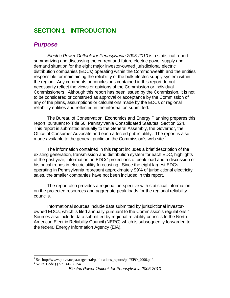## **SECTION 1 - INTRODUCTION**

#### *Purpose*

*Electric Power Outlook for Pennsylvania 2005-2010* is a statistical report summarizing and discussing the current and future electric power supply and demand situation for the eight major investor-owned jurisdictional electric distribution companies (EDCs) operating within the Commonwealth and the entities responsible for maintaining the reliability of the bulk electric supply system within the region. Any comments or conclusions contained in this report do not necessarily reflect the views or opinions of the Commission or individual Commissioners. Although this report has been issued by the Commission, it is not to be considered or construed as approval or acceptance by the Commission of any of the plans, assumptions or calculations made by the EDCs or regional reliability entities and reflected in the information submitted.

The Bureau of Conservation, Economics and Energy Planning prepares this report, pursuant to Title 66, Pennsylvania Consolidated Statutes, Section 524. This report is submitted annually to the General Assembly, the Governor, the Office of Consumer Advocate and each affected public utility. The report is also made available to the general public on the Commission's web site.<sup>[1](#page-5-0)</sup>

The information contained in this report includes a brief description of the existing generation, transmission and distribution system for each EDC, highlights of the past year, information on EDCs' projections of peak load and a discussion of historical trends in electric utility forecasting. Since the eight largest EDCs operating in Pennsylvania represent approximately 99% of jurisdictional electricity sales, the smaller companies have not been included in this report.

The report also provides a regional perspective with statistical information on the projected resources and aggregate peak loads for the regional reliability councils.

Informational sources include data submitted by jurisdictional investor-owned EDCs, which is filed annually pursuant to the Commission's regulations.<sup>[2](#page-5-1)</sup> Sources also include data submitted by regional reliability councils to the North American Electric Reliability Council (NERC) which is subsequently forwarded to the federal Energy Information Agency (EIA).

<span id="page-5-0"></span><sup>1&</sup>lt;br>
<sup>1</sup> See http://www.puc.state.pa.us/general/publications\_reports/pdf/EPO\_2006.pdf.

<span id="page-5-1"></span><sup>2</sup> 52 Pa. Code §§ 57.141-57.154.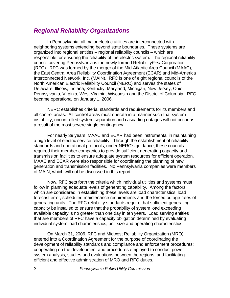#### *Regional Reliability Organizations*

In Pennsylvania, all major electric utilities are interconnected with neighboring systems extending beyond state boundaries. These systems are organized into regional entities – regional reliability councils – which are responsible for ensuring the reliability of the electric system. The regional reliability council covering Pennsylvania is the newly formed Reliability*First* Corporation (RFC). RFC was formed by the merger of the Mid-Atlantic Area Council (MAAC), the East Central Area Reliability Coordination Agreement (ECAR) and Mid-America Interconnected Network, Inc. (MAIN). RFC is one of eight regional councils of the North American Electric Reliability Council (NERC) and serves the states of Delaware, Illinois, Indiana, Kentucky, Maryland, Michigan, New Jersey, Ohio, Pennsylvania, Virginia, West Virginia, Wisconsin and the District of Columbia. RFC became operational on January 1, 2006.

NERC establishes criteria, standards and requirements for its members and all control areas. All control areas must operate in a manner such that system instability, uncontrolled system separation and cascading outages will not occur as a result of the most severe single contingency.

For nearly 39 years, MAAC and ECAR had been instrumental in maintaining a high level of electric service reliability. Through the establishment of reliability standards and operational protocols, under NERC's guidance, these councils required their member companies to provide sufficient generating capacity and transmission facilities to ensure adequate system resources for efficient operation. MAAC and ECAR were also responsible for coordinating the planning of new generation and transmission facilities. No Pennsylvania companies were members of MAIN, which will not be discussed in this report.

Now, RFC sets forth the criteria which individual utilities and systems must follow in planning adequate levels of generating capability. Among the factors which are considered in establishing these levels are load characteristics, load forecast error, scheduled maintenance requirements and the forced outage rates of generating units. The RFC reliability standards require that sufficient generating capacity be installed to ensure that the probability of system load exceeding available capacity is no greater than one day in ten years. Load serving entities that are members of RFC have a capacity obligation determined by evaluating individual system load characteristics, unit size and operating characteristics.

On March 31, 2006, RFC and Midwest Reliability Organization (MRO) entered into a Coordination Agreement for the purpose of coordinating the development of reliability standards and compliance and enforcement procedures; cooperating on the development and procedures employed to conduct power system analysis, studies and evaluations between the regions; and facilitating efficient and effective administration of MRO and RFC duties.

2 *Pennsylvania Public Utility Commission*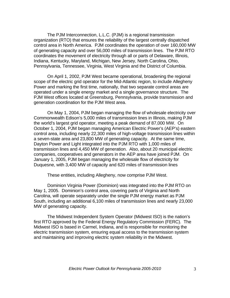The PJM Interconnection, L.L.C. (PJM) is a regional transmission organization (RTO) that ensures the reliability of the largest centrally dispatched control area in North America. PJM coordinates the operation of over 160,000 MW of generating capacity and over 56,000 miles of transmission lines. The PJM RTO coordinates the movement of electricity through all or parts of Delaware, Illinois, Indiana, Kentucky, Maryland, Michigan, New Jersey, North Carolina, Ohio, Pennsylvania, Tennessee, Virginia, West Virginia and the District of Columbia.

On April 1, 2002, PJM West became operational, broadening the regional scope of the electric grid operator for the Mid-Atlantic region, to include Allegheny Power and marking the first time, nationally, that two separate control areas are operated under a single energy market and a single governance structure. The PJM West offices located at Greensburg, Pennsylvania, provide transmission and generation coordination for the PJM West area.

On May 1, 2004, PJM began managing the flow of wholesale electricity over Commonwealth Edison's 5,000 miles of transmission lines in Illinois, making PJM the world's largest grid operator, meeting a peak demand of 87,000 MW. On October 1, 2004, PJM began managing American Electric Power's (AEP's) eastern control area, including nearly 22,300 miles of high-voltage transmission lines within a seven-state area and 23,800 MW of generating capacity. At the same time, Dayton Power and Light integrated into the PJM RTO with 1,000 miles of transmission lines and 4,450 MW of generation. Also, about 20 municipal electric companies, cooperatives and generators in the AEP area have joined PJM. On January 1, 2005, PJM began managing the wholesale flow of electricity for Duquesne, with 3,400 MW of capacity and 620 miles of transmission lines

These entities, including Allegheny, now comprise PJM West.

 Dominion Virginia Power (Dominion) was integrated into the PJM RTO on May 1, 2005. Dominion's control area, covering parts of Virginia and North Carolina, will operate separately under the single PJM energy market as PJM South, including an additional 6,100 miles of transmission lines and nearly 23,000 MW of generating capacity.

 The Midwest Independent System Operator (Midwest ISO) is the nation's first RTO approved by the Federal Energy Regulatory Commission (FERC). The Midwest ISO is based in Carmel, Indiana, and is responsible for monitoring the electric transmission system, ensuring equal access to the transmission system and maintaining and improving electric system reliability in the Midwest.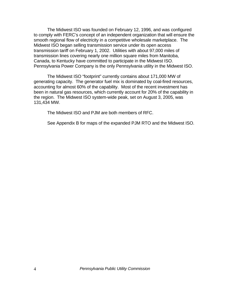The Midwest ISO was founded on February 12, 1996, and was configured to comply with FERC's concept of an independent organization that will ensure the smooth regional flow of electricity in a competitive wholesale marketplace. The Midwest ISO began selling transmission service under its open access transmission tariff on February 1, 2002. Utilities with about 97,000 miles of transmission lines covering nearly one million square miles from Manitoba, Canada, to Kentucky have committed to participate in the Midwest ISO. Pennsylvania Power Company is the only Pennsylvania utility in the Midwest ISO.

 The Midwest ISO "footprint" currently contains about 171,000 MW of generating capacity. The generator fuel mix is dominated by coal-fired resources, accounting for almost 60% of the capability. Most of the recent investment has been in natural gas resources, which currently account for 20% of the capability in the region. The Midwest ISO system-wide peak, set on August 3, 2005, was 131,434 MW.

The Midwest ISO and PJM are both members of RFC.

See Appendix B for maps of the expanded PJM RTO and the Midwest ISO.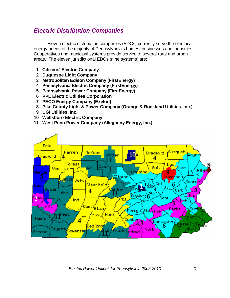## *Electric Distribution Companies*

Eleven electric distribution companies (EDCs) currently serve the electrical energy needs of the majority of Pennsylvania's homes, businesses and industries. Cooperatives and municipal systems provide service to several rural and urban areas. The eleven jurisdictional EDCs (nine systems) are:

- **1 Citizens' Electric Company**
- **2 Duquesne Light Company**
- **3 Metropolitan Edison Company (FirstEnergy)**
- **4 Pennsylvania Electric Company (FirstEnergy)**
- **5 Pennsylvania Power Company (FirstEnergy)**
- **6 PPL Electric Utilities Corporation**
- **7 PECO Energy Company (Exelon)**
- **8 Pike County Light & Power Company (Orange & Rockland Utilities, Inc.)**
- **9 UGI Utilities, Inc.**
- **10 Wellsboro Electric Company**
- **11 West Penn Power Company (Allegheny Energy, Inc.)**

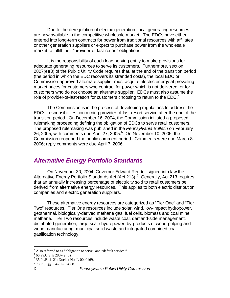Due to the deregulation of electric generation, local generating resources are now available to the competitive wholesale market. The EDCs have either entered into long-term contracts for power from traditional resources with affiliates or other generation suppliers or expect to purchase power from the wholesale market to fulfill their "provider-of-last-resort" obligations. $3$ 

It is the responsibility of each load-serving entity to make provisions for adequate generating resources to serve its customers. Furthermore, section 2807(e)(3) of the Public Utility Code requires that, at the end of the transition period (the period in which the EDC recovers its stranded costs), the local EDC or Commission-approved alternate supplier must acquire electric energy at prevailing market prices for customers who contract for power which is not delivered, or for customers who do not choose an alternate supplier. EDCs must also assume the role of provider-of-last-resort for customers choosing to return to the  $EDC<sup>4</sup>$  $EDC<sup>4</sup>$  $EDC<sup>4</sup>$ 

The Commission is in the process of developing regulations to address the EDCs' responsibilities concerning provider-of-last-resort service after the end of the transition period. On December 16, 2004, the Commission initiated a proposed rulemaking proceeding defining the obligation of EDCs to serve retail customers. The proposed rulemaking was published in the *Pennsylvania Bulletin* on February 26, 200[5](#page-10-2), with comments due April 27, 2005. $^5$  On November 10, 2005, the Commission reopened the public comment period. Comments were due March 8, 2006; reply comments were due April 7, 2006.

#### *Alternative Energy Portfolio Standards*

On November 30, 2004, Governor Edward Rendell signed into law the Alternative Energy Portfolio Standards Act (Act 213).<sup>[6](#page-10-3)</sup> Generally, Act 213 requires that an annually increasing percentage of electricity sold to retail customers be derived from alternative energy resources. This applies to both electric distribution companies and electric generation suppliers.

 These alternative energy resources are categorized as "Tier One" and "Tier Two" resources. Tier One resources include solar, wind, low-impact hydropower, geothermal, biologically-derived methane gas, fuel cells, biomass and coal mine methane. Tier Two resources include waste coal, demand-side management, distributed generation, large-scale hydropower, by-products of wood-pulping and wood manufacturing, municipal solid waste and integrated combined coal gasification technology.

 $\overline{a}$ 

<sup>&</sup>lt;sup>3</sup> Also referred to as "obligation to serve" and "default service."<br> $^{4}$  66 Be C S  $^{8}$  32907(e)(2)

<span id="page-10-2"></span><span id="page-10-1"></span><span id="page-10-0"></span> $466$  Pa.C.S. § 2807(e)(3).

<sup>5</sup> 35 Pa.B. 4121; Docket No. L-0040169.

<span id="page-10-3"></span><sup>6</sup> 73 P.S. §§ 1647.1–1647.8.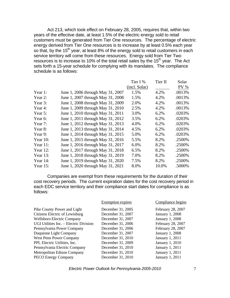Act 213, which took effect on February 28, 2005, requires that, within two years of the effective date, at least 1.5% of the electric energy sold to retail customers must be generated from Tier One resources. The percentage of electric energy derived from Tier One resources is to increase by at least 0.5% each year so that, by the  $15<sup>th</sup>$  year, at least 8% of the energy sold to retail customers in each service territory will come from these resources. Energy sold from Tier Two resources is to increase to 10% of the total retail sales by the 15<sup>th</sup> year. The Act sets forth a 15-year schedule for complying with its mandates. The compliance schedule is as follows:

|             |                                   | Tier I %      | Tier II | Solar  |
|-------------|-----------------------------------|---------------|---------|--------|
|             |                                   | (incl. Solar) |         | $PV$ % |
| Year 1:     | June 1, 2006 through May 31, 2007 | 1.5%          | 4.2%    | .0013% |
| Year 2:     | June 1, 2007 through May 31, 2008 | 1.5%          | 4.2%    | .0013% |
| Year 3:     | June 1, 2008 through May 31, 2009 | 2.0%          | 4.2%    | .0013% |
| Year 4:     | June 1, 2009 through May 31, 2010 | 2.5%          | 4.2%    | .0013% |
| Year 5:     | June 1, 2010 through May 31, 2011 | 3.0%          | 6.2%    | .0203% |
| Year 6:     | June 1, 2011 through May 31, 2012 | 3.5%          | 6.2%    | .0203% |
| Year 7:     | June 1, 2012 through May 31, 2013 | 4.0%          | 6.2%    | .0203% |
| Year 8:     | June 1, 2013 through May 31, 2014 | 4.5%          | 6.2%    | .0203% |
| Year 9:     | June 1, 2014 through May 31, 2015 | 5.0%          | 6.2%    | .0203% |
| Year $10$ : | June 1, 2015 through May 31, 2016 | 5.5%          | 8.2%    | .2500% |
| Year 11:    | June 1, 2016 through May 31, 2017 | 6.0%          | 8.2%    | .2500% |
| Year $12$ : | June 1, 2017 through May 31, 2018 | 6.5%          | 8.2%    | .2500% |
| Year $13$ : | June 1, 2018 through May 31, 2019 | 7.0%          | 8.2%    | .2500% |
| Year $14$ : | June 1, 2019 through May 31, 2020 | 7.5%          | 8.2%    | .2500% |
| Year $15$ : | June 1, 2020 through May 31, 2021 | 8.0%          | 10.0%   | .5000% |

Companies are exempt from these requirements for the duration of their cost recovery periods. The current expiration dates for the cost recovery period in each EDC service territory and their compliance start dates for compliance is as follows:

|                                        | Exemption expires | Compliance begins      |
|----------------------------------------|-------------------|------------------------|
| Pike County Power and Light            | December 31, 2005 | February 28, 2007      |
| Citizens Electric of Lewisburg         | December 31, 2007 | <b>January 1, 2008</b> |
| <b>Wellsboro Electric Company</b>      | December 31, 2007 | January 1, 2008        |
| UGI Utilities Inc. - Electric Division | December 31, 2006 | February 28, 2007      |
| Pennsylvania Power Company             | December 31, 2006 | February 28, 2007      |
| Duquesne Light Company                 | December 31, 2007 | <b>January 1, 2008</b> |
| <b>West Penn Power Company</b>         | December 31, 2010 | January 1, 2011        |
| PPL Electric Utilities, Inc.           | December 31, 2009 | January 1, 2010        |
| Pennsylvania Electric Company          | December 31, 2010 | January 1, 2011        |
| Metropolitan Edison Company            | December 31, 2010 | January 1, 2011        |
| <b>PECO Energy Company</b>             | December 31, 2010 | January 1, 2011        |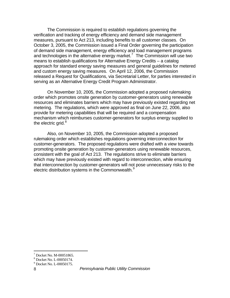The Commission is required to establish regulations governing the verification and tracking of energy efficiency and demand side management measures, pursuant to Act 213, including benefits to all customer classes. On October 3, 2005, the Commission issued a Final Order governing the participation of demand side management, energy efficiency and load management programs and technologies in the alternative energy market.<sup>[7](#page-12-0)</sup> The Commission will use two means to establish qualifications for Alternative Energy Credits – a catalog approach for standard energy saving measures and general guidelines for metered and custom energy saving measures. On April 12, 2006, the Commission released a Request for Qualifications, via Secretarial Letter, for parties interested in serving as an Alternative Energy Credit Program Administrator.

 On November 10, 2005, the Commission adopted a proposed rulemaking order which promotes onsite generation by customer-generators using renewable resources and eliminates barriers which may have previously existed regarding net metering. The regulations, which were approved as final on June 22, 2006, also provide for metering capabilities that will be required and a compensation mechanism which reimburses customer-generators for surplus energy supplied to the electric grid. $8$ 

 Also, on November 10, 2005, the Commission adopted a proposed rulemaking order which establishes regulations governing interconnection for customer-generators. The proposed regulations were drafted with a view towards promoting onsite generation by customer-generators using renewable resources, consistent with the goal of Act 213. The regulations strive to eliminate barriers which may have previously existed with regard to interconnection, while ensuring that interconnection by customer-generators will not pose unnecessary risks to the electric distribution systems in the Commonwealth.<sup>[9](#page-12-2)</sup>

 $\overline{a}$ 

<span id="page-12-0"></span><sup>7</sup> Docket No. M-00051865.

<span id="page-12-1"></span><sup>8</sup> Docket No. L-00050174.

<span id="page-12-2"></span><sup>9</sup> Docket No. L-00050175.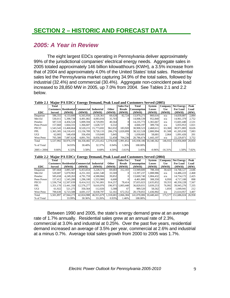## **SECTION 2 – HISTORIC AND FORECAST DATA**

#### *2005: A Year in Review*

The eight largest EDCs operating in Pennsylvania deliver approximately 99% of the jurisdictional companies' electrical energy needs. Aggregate sales in 2005 totaled approximately 146 billion kilowatthours (KWH), a 3.5% increase from that of 2004 and approximately 4.0% of the United States' total sales. Residential sales led the Pennsylvania market capturing 34.9% of the total sales, followed by industrial (32.4%) and commercial (30.4%). Aggregate non-coincident peak load increased to 28,850 MW in 2005, up 7.0% from 2004. See Tables 2.1 and 2.2 below.

**Table 2.1 Major PA EDCs' Energy Demand, Peak Load and Customers Served (2005)**

|             | Total            |            |                               |                   |              | <b>Sales For</b> | Total              | System        | Company    | <b>Net Energy</b> | Peak   |
|-------------|------------------|------------|-------------------------------|-------------------|--------------|------------------|--------------------|---------------|------------|-------------------|--------|
|             | <b>Customers</b> |            | <b>Residential Commercial</b> | <b>Industrial</b> | <b>Other</b> | <b>Resale</b>    | <b>Consumption</b> | <b>Losses</b> | <b>Use</b> | <b>For Load</b>   | Load   |
| <b>EDC</b>  | <b>Served</b>    | (MWH)      | (MWH)                         | (MWH)             | (MWH)        | (MWH)            | (MWH)              | (MWH)         | (MWH)      | (MWH)             | (MW)   |
| Duquesne    | 586,355          | 4,133,600  | 6,565,958                     | 3,128,361         | 68,628       | 82.724           | 13.979.271         | 860,616       | n/a        | 14,839,887        | 2,884  |
| Met-Ed      | 530.011          | 5.398.738  | 4.491.082                     | 4.083.016         | 35,703       |                  | 14.008.539         | 952,840       | n/a        | 14.961.379        | 2,752  |
| Penelec     | 587,533          | 4.456.524  | 5.009.594                     | 4.729.091         | 40.564       | $\Omega$         | 14.235.773         | 1.365.667     | n/a        | 15,601,440        | 2,531  |
| Penn Power  | 157,660          | 1.664.331  | 1.366.607                     | 1.628.727         | 6,532        |                  | 4.666.197          | 389,756       | n/a        | 5,055,953         | 1.021  |
| PECO        | 1.543.543        | 13.468.664 | 8.520.215                     | 15.773.692        | 962.032      | 183.920          | 38,908,523         | 2.468.611     | 63.360     | 38.971.883        | 8.626  |
| PPL         | 1.365.305        | 14.218.431 | 13,156,789                    | 9.720.133         | 206,276      | 1.020.899        | 38, 322, 528       | 2.800.994     | 81.508     | 41,205,030        | 7,083  |
| UGI         | 62,005           | 548,458    | 356,456                       | 119,849           | 5.845        | 73               | 1.030.681          | 58.681        | 2.064      | 1.091.426         | 201    |
| West Penn   | 705.580          | 7.087.624  | 4.891.781                     | 8.050.583         | 52.450       | 704.236          | 20.786.674         | 1.443.197     | n/a        | 22.229.871        | 3,752  |
| Total       | 5.537.992        | 50.976.370 | 44.358.482                    | 47.233.452        | 1.378.030    | 1.991.852        | 145.938.186        | 10.340.362    | 146,932    | 153,956,869       | 28,850 |
| % of Total  |                  | 34.93%     | 30.40%                        | 32.37%            | 0.94%        | 1.36%            | 100.00%            |               |            |                   |        |
| 2005 v 2004 | $0.66\%$         | 6.32%      | 3.58%                         | 0.68%             | 4.50%        | $-3.61\%$        | 3.45%              | $-0.96%$      | $-16.31\%$ | 1.50%             | 7.02%  |

**Table 2.2 Major PA EDCs' Energy Demand, Peak Load and Customers Served (2004)**

|            | Total         |            |                                             |                   |              | <b>Sales For</b>    | Total              | System        | Company | <b>Net Energy</b>  | Peak  |
|------------|---------------|------------|---------------------------------------------|-------------------|--------------|---------------------|--------------------|---------------|---------|--------------------|-------|
|            |               |            | <b>Customers   Residential   Commercial</b> | <b>Industrial</b> | <b>Other</b> | <b>Resale</b>       | <b>Consumption</b> | <b>Losses</b> | Use     | <b>For Load</b>    | Load  |
| <b>EDC</b> | <b>Served</b> | (MWH)      | (MWH)                                       | (MWH)             | (MWH)        | (MWH)               | (MWH)              | (MWH)         | (MWH)   | (MWH)              | (MW)  |
| Duquesne   | 587,664       | 3.885.587  | 6,453,654                                   | 3.228.573         | 69,683       | 312.103             | 13.949.600         | 788.104       | 30.423  | 14,768,127         | 2.646 |
| Met-Ed     | 520,687       | 5.070.963  | 4,251,165                                   | 4,041,540         | 33,569       |                     | 13.397.237         | 1.088.986     | n/a     | 14,486,223         | 2.468 |
| Penelec    | 585,658       | 4,249,263  | 4,791,759                                   | 4.588.866         | 39.852       |                     | 13.669.740         | 1.084.432     | n/a     | 14,754,172         | 2.425 |
| Penn Power | 157.412       | 1,545,200  | 1,296,100                                   | 1,553,900         | 6,600        |                     | 4.401.800          | 308,350       | 6,950   | 4,717,100          | 898   |
| PECO       | 1.536.754     | 12,507,039 | 8,414,312                                   | 15.741.001        | 914.257      | 78.414              | 37,655,023         | 2,635,852     | 59,353  | 40,350,228         | 7.567 |
| PPL        | 1.351.170     | 13.441.358 | 12.576.277                                  | 9.610.976         |              | 196.971 1.003.448   | 36,829,031         | 3,039,253     | 76.992  | 39,945,276         | 7.335 |
| UGI        | 61.922        | 521.275    | 350,564                                     | 112,026           | 5.588        | 67                  | 989.520            | 58,562        | 1.859   | 1.049.941          | 212   |
| West Penn  | 700,630       | 6.723.588  | 4,691,157                                   | 8.038.797         | 52.161       | 672,352             | 20,178,055         | 1.436.902     | n/a     | 21.614.957         | 3.407 |
| Total      | 5.501.897     | 47.944.273 | 42,824,988                                  | 46.915.679        |              | 1.318.681 2.066.384 | 141,070,006        | 10.440.441    | 175,577 | 151.686.024 26.958 |       |
| % of Total |               | 33.99%     | 30.36%                                      | 33.26%            | 0.93%        | 1.46%               | 100.00%            |               |         |                    |       |

Between 1990 and 2005, the state's energy demand grew at an average rate of 1.7% annually. Residential sales grew at an annual rate of 2.3%, commercial at 3.0% and industrial at 0.25%. Over the past five years, residential demand increased an average of 3.5% per year, commercial at 2.6% and industrial at a minus 0.7%. Average total sales growth from 2000 to 2005 was 1.7%.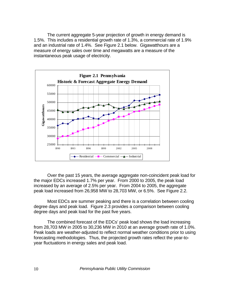The current aggregate 5-year projection of growth in energy demand is 1.5%. This includes a residential growth rate of 1.3%, a commercial rate of 1.9% and an industrial rate of 1.4%. See Figure 2.1 below. Gigawatthours are a measure of energy sales over time and megawatts are a measure of the instantaneous peak usage of electricity.



 Over the past 15 years, the average aggregate non-coincident peak load for the major EDCs increased 1.7% per year. From 2000 to 2005, the peak load increased by an average of 2.5% per year. From 2004 to 2005, the aggregate peak load increased from 26,958 MW to 28,703 MW, or 6.5%. See Figure 2.2.

Most EDCs are summer peaking and there is a correlation between cooling degree days and peak load. Figure 2.3 provides a comparison between cooling degree days and peak load for the past five years.

 The combined forecast of the EDCs' peak load shows the load increasing from 28,703 MW in 2005 to 30,236 MW in 2010 at an average growth rate of 1.0%. Peak loads are weather-adjusted to reflect normal weather conditions prior to using forecasting methodologies. Thus, the projected growth rates reflect the year-toyear fluctuations in energy sales and peak load.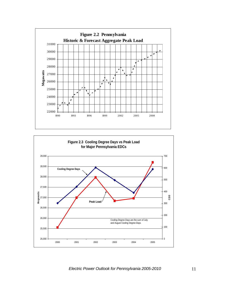

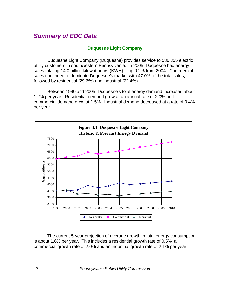## *Summary of EDC Data*

#### **Duquesne Light Company**

Duquesne Light Company (Duquesne) provides service to 586,355 electric utility customers in southwestern Pennsylvania. In 2005, Duquesne had energy sales totaling 14.0 billion kilowatthours (KWH) -- up 0.2% from 2004. Commercial sales continued to dominate Duquesne's market with 47.0% of the total sales, followed by residential (29.6%) and industrial (22.4%).

Between 1990 and 2005, Duquesne's total energy demand increased about 1.2% per year. Residential demand grew at an annual rate of 2.0% and commercial demand grew at 1.5%. Industrial demand decreased at a rate of 0.4% per year.



The current 5-year projection of average growth in total energy consumption is about 1.6% per year. This includes a residential growth rate of 0.5%, a commercial growth rate of 2.0% and an industrial growth rate of 2.1% per year.

12 *Pennsylvania Public Utility Commission*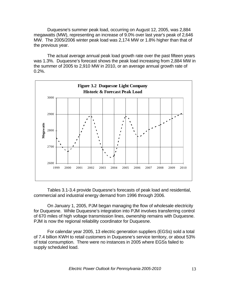Duquesne's summer peak load, occurring on August 12, 2005, was 2,884 megawatts (MW), representing an increase of 9.0% over last year's peak of 2,646 MW. The 2005/2006 winter peak load was 2,174 MW or 1.8% higher than that of the previous year.

The actual average annual peak load growth rate over the past fifteen years was 1.3%. Duquesne's forecast shows the peak load increasing from 2,884 MW in the summer of 2005 to 2,910 MW in 2010, or an average annual growth rate of  $0.2%$ .



Tables 3.1-3.4 provide Duquesne's forecasts of peak load and residential, commercial and industrial energy demand from 1996 through 2006.

On January 1, 2005, PJM began managing the flow of wholesale electricity for Duquesne. While Duquesne's integration into PJM involves transferring control of 670 miles of high voltage transmission lines, ownership remains with Duquesne. PJM is now the regional reliability coordinator for Duquesne.

For calendar year 2005, 13 electric generation suppliers (EGSs) sold a total of 7.4 billion KWH to retail customers in Duquesne's service territory, or about 53% of total consumption. There were no instances in 2005 where EGSs failed to supply scheduled load.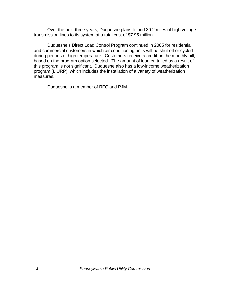Over the next three years, Duquesne plans to add 39.2 miles of high voltage transmission lines to its system at a total cost of \$7.95 million.

Duquesne's Direct Load Control Program continued in 2005 for residential and commercial customers in which air conditioning units will be shut off or cycled during periods of high temperature. Customers receive a credit on the monthly bill, based on the program option selected. The amount of load curtailed as a result of this program is not significant. Duquesne also has a low-income weatherization program (LIURP), which includes the installation of a variety of weatherization measures.

Duquesne is a member of RFC and PJM.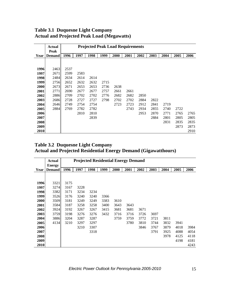|      | Actual        |      | <b>Projected Peak Load Requirements</b> |      |      |      |      |      |      |      |      |      |  |  |
|------|---------------|------|-----------------------------------------|------|------|------|------|------|------|------|------|------|--|--|
|      | Peak          |      |                                         |      |      |      |      |      |      |      |      |      |  |  |
| Year | <b>Demand</b> | 1996 | 1997                                    | 1998 | 1999 | 2000 | 2001 | 2002 | 2003 | 2004 | 2005 | 2006 |  |  |
|      |               |      |                                         |      |      |      |      |      |      |      |      |      |  |  |
|      |               |      |                                         |      |      |      |      |      |      |      |      |      |  |  |
| 1996 | 2463          | 2537 |                                         |      |      |      |      |      |      |      |      |      |  |  |
| 1997 | 2671          | 2599 | 2583                                    |      |      |      |      |      |      |      |      |      |  |  |
| 1998 | 2484          | 2634 | 2614                                    | 2614 |      |      |      |      |      |      |      |      |  |  |
| 1999 | 2756          | 2652 | 2632                                    | 2632 | 2715 |      |      |      |      |      |      |      |  |  |
| 2000 | 2673          | 2671 | 2653                                    | 2653 | 2736 | 2638 |      |      |      |      |      |      |  |  |
| 2001 | 2771          | 2690 | 2677                                    | 2677 | 2757 | 2661 | 2661 |      |      |      |      |      |  |  |
| 2002 | 2886          | 2709 | 2702                                    | 2702 | 2776 | 2682 | 2682 | 2850 |      |      |      |      |  |  |
| 2003 | 2686          | 2728 | 2727                                    | 2727 | 2798 | 2702 | 2702 | 2884 | 2822 |      |      |      |  |  |
| 2004 | 2646          | 2749 | 2754                                    | 2754 |      | 2723 | 2723 | 2912 | 2841 | 2719 |      |      |  |  |
| 2005 | 2884          | 2769 | 2782                                    | 2782 |      |      | 2743 | 2934 | 2855 | 2740 | 2722 |      |  |  |
| 2006 |               |      | 2810                                    | 2810 |      |      |      | 2953 | 2870 | 2771 | 2765 | 2765 |  |  |
| 2007 |               |      |                                         | 2839 |      |      |      |      | 2884 | 2801 | 2805 | 2805 |  |  |
| 2008 |               |      |                                         |      |      |      |      |      |      | 2831 | 2835 | 2835 |  |  |
| 2009 |               |      |                                         |      |      |      |      |      |      |      | 2873 | 2873 |  |  |
| 2010 |               |      |                                         |      |      |      |      |      |      |      |      | 2910 |  |  |

#### **Table 3.1 Duquesne Light Company Actual and Projected Peak Load (Megawatts)**

#### **Table 3.2 Duquesne Light Company Actual and Projected Residential Energy Demand (Gigawatthours)**

|      | <b>Actual</b> |      |      | <b>Projected Residential Energy Demand</b> |      |      |      |      |      |      |      |      |
|------|---------------|------|------|--------------------------------------------|------|------|------|------|------|------|------|------|
|      | <b>Energy</b> |      |      |                                            |      |      |      |      |      |      |      |      |
| Year | <b>Demand</b> | 1996 | 1997 | 1998                                       | 1999 | 2000 | 2001 | 2002 | 2003 | 2004 | 2005 | 2006 |
|      |               |      |      |                                            |      |      |      |      |      |      |      |      |
|      |               |      |      |                                            |      |      |      |      |      |      |      |      |
| 1996 | 3321          | 3175 |      |                                            |      |      |      |      |      |      |      |      |
| 1997 | 3274          | 3167 | 3228 |                                            |      |      |      |      |      |      |      |      |
| 1998 | 3382          | 3171 | 3234 | 3234                                       |      |      |      |      |      |      |      |      |
| 1999 | 3526          | 3176 | 3240 | 3240                                       | 3366 |      |      |      |      |      |      |      |
| 2000 | 3509          | 3181 | 3249 | 3249                                       | 3383 | 3610 |      |      |      |      |      |      |
| 2001 | 3584          | 3187 | 3258 | 3258                                       | 3400 | 3643 | 3643 |      |      |      |      |      |
| 2002 | 3924          | 3192 | 3267 | 3267                                       | 3415 | 3681 | 3681 | 3671 |      |      |      |      |
| 2003 | 3759          | 3198 | 3276 | 3276                                       | 3432 | 3716 | 3716 | 3726 | 3697 |      |      |      |
| 2004 | 3886          | 3204 | 3287 | 3287                                       |      | 3759 | 3759 | 3772 | 3721 | 3811 |      |      |
| 2005 | 4134          | 3210 | 3297 | 3297                                       |      |      | 3780 | 3810 | 3744 | 3832 | 3941 |      |
| 2006 |               |      | 3210 | 3307                                       |      |      |      | 3846 | 3767 | 3879 | 4018 | 3984 |
| 2007 |               |      |      | 3318                                       |      |      |      |      | 3791 | 3925 | 4088 | 4054 |
| 2008 |               |      |      |                                            |      |      |      |      |      | 3978 | 4125 | 4118 |
| 2009 |               |      |      |                                            |      |      |      |      |      |      | 4198 | 4181 |
| 2010 |               |      |      |                                            |      |      |      |      |      |      |      | 4243 |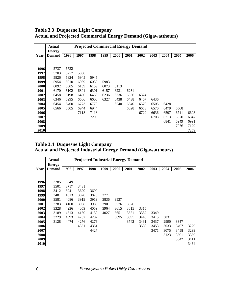|      | <b>Actual</b> |      | <b>Projected Commercial Energy Demand</b> |      |      |      |      |      |      |      |      |      |  |
|------|---------------|------|-------------------------------------------|------|------|------|------|------|------|------|------|------|--|
|      | <b>Energy</b> |      |                                           |      |      |      |      |      |      |      |      |      |  |
| Year | <b>Demand</b> | 1996 | 1997                                      | 1998 | 1999 | 2000 | 2001 | 2002 | 2003 | 2004 | 2005 | 2006 |  |
|      |               |      |                                           |      |      |      |      |      |      |      |      |      |  |
|      |               |      |                                           |      |      |      |      |      |      |      |      |      |  |
| 1996 | 5737          | 5732 |                                           |      |      |      |      |      |      |      |      |      |  |
| 1997 | 5703          | 5757 | 5858                                      |      |      |      |      |      |      |      |      |      |  |
| 1998 | 5826          | 5824 | 5945                                      | 5945 |      |      |      |      |      |      |      |      |  |
| 1999 | 5954          | 5910 | 6039                                      | 6039 | 5983 |      |      |      |      |      |      |      |  |
| 2000 | 6092          | 6005 | 6159                                      | 6159 | 6073 | 6113 |      |      |      |      |      |      |  |
| 2001 | 6170          | 6102 | 6301                                      | 6301 | 6157 | 6231 | 6231 |      |      |      |      |      |  |
| 2002 | 6458          | 6198 | 6450                                      | 6450 | 6236 | 6336 | 6336 | 6324 |      |      |      |      |  |
| 2003 | 6346          | 6295 | 6606                                      | 6606 | 6327 | 6438 | 6438 | 6467 | 6436 |      |      |      |  |
| 2004 | 6454          | 6400 | 6773                                      | 6773 |      | 6540 | 6540 | 6570 | 6505 | 6428 |      |      |  |
| 2005 | 6566          | 6505 | 6944                                      | 6944 |      |      | 6628 | 6653 | 6570 | 6479 | 6568 |      |  |
| 2006 |               |      | 7118                                      | 7118 |      |      |      | 6729 | 6636 | 6597 | 6711 | 6693 |  |
| 2007 |               |      |                                           | 7296 |      |      |      |      | 6703 | 6713 | 6870 | 6847 |  |
| 2008 |               |      |                                           |      |      |      |      |      |      | 6841 | 6949 | 6991 |  |
| 2009 |               |      |                                           |      |      |      |      |      |      |      | 7076 | 7129 |  |
| 2010 |               |      |                                           |      |      |      |      |      |      |      |      | 7259 |  |

**Table 3.3 Duquesne Light Company Actual and Projected Commercial Energy Demand (Gigawatthours)**

#### **Table 3.4 Duquesne Light Company Actual and Projected Industrial Energy Demand (Gigawatthours)**

|      | <b>Actual</b> |      |      | <b>Projected Industrial Energy Demand</b> |      |      |      |      |      |      |      |      |
|------|---------------|------|------|-------------------------------------------|------|------|------|------|------|------|------|------|
|      | <b>Energy</b> |      |      |                                           |      |      |      |      |      |      |      |      |
| Year | <b>Demand</b> | 1996 | 1997 | 1998                                      | 1999 | 2000 | 2001 | 2002 | 2003 | 2004 | 2005 | 2006 |
|      |               |      |      |                                           |      |      |      |      |      |      |      |      |
|      |               |      |      |                                           |      |      |      |      |      |      |      |      |
| 1996 | 3285          | 3349 |      |                                           |      |      |      |      |      |      |      |      |
| 1997 | 3501          | 3717 | 3431 |                                           |      |      |      |      |      |      |      |      |
| 1998 | 3412          | 3941 | 3690 | 3690                                      |      |      |      |      |      |      |      |      |
| 1999 | 3481          | 4013 | 3828 | 3828                                      | 3771 |      |      |      |      |      |      |      |
| 2000 | 3581          | 4086 | 3919 | 3919                                      | 3836 | 3537 |      |      |      |      |      |      |
| 2001 | 3283          | 4160 | 3988 | 3988                                      | 3901 | 3576 | 3576 |      |      |      |      |      |
| 2002 | 3328          | 4236 | 4059 | 4059                                      | 3964 | 3615 | 3615 | 3315 |      |      |      |      |
| 2003 | 3189          | 4313 | 4130 | 4130                                      | 4027 | 3651 | 3651 | 3382 | 3349 |      |      |      |
| 2004 | 3229          | 4393 | 4202 | 4202                                      |      | 3695 | 3695 | 3445 | 3415 | 3031 |      |      |
| 2005 | 3128          | 4474 | 4276 | 4276                                      |      |      | 3742 | 3491 | 3437 | 2990 | 3347 |      |
| 2006 |               |      | 4351 | 4351                                      |      |      |      | 3530 | 3453 | 3033 | 3407 | 3229 |
| 2007 |               |      |      | 4427                                      |      |      |      |      | 3471 | 3075 | 3458 | 3299 |
| 2008 |               |      |      |                                           |      |      |      |      |      | 3123 | 3501 | 3359 |
| 2009 |               |      |      |                                           |      |      |      |      |      |      | 3542 | 3411 |
| 2010 |               |      |      |                                           |      |      |      |      |      |      |      | 3464 |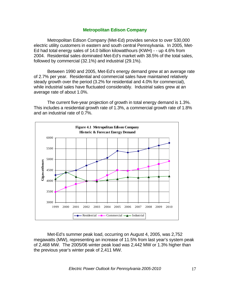#### **Metropolitan Edison Company**

Metropolitan Edison Company (Met-Ed) provides service to over 530,000 electric utility customers in eastern and south central Pennsylvania. In 2005, Met-Ed had total energy sales of 14.0 billion kilowatthours (KWH) - - up 4.6% from 2004. Residential sales dominated Met-Ed's market with 38.5% of the total sales, followed by commercial (32.1%) and industrial (29.1%).

Between 1990 and 2005, Met-Ed's energy demand grew at an average rate of 2.7% per year. Residential and commercial sales have maintained relatively steady growth over the period (3.2% for residential and 4.0% for commercial), while industrial sales have fluctuated considerably. Industrial sales grew at an average rate of about 1.0%.

 The current five-year projection of growth in total energy demand is 1.3%. This includes a residential growth rate of 1.3%, a commercial growth rate of 1.8% and an industrial rate of 0.7%.



 Met-Ed's summer peak load, occurring on August 4, 2005, was 2,752 megawatts (MW), representing an increase of 11.5% from last year's system peak of 2,468 MW. The 2005/06 winter peak load was 2,442 MW or 1.3% higher than the previous year's winter peak of 2,411 MW.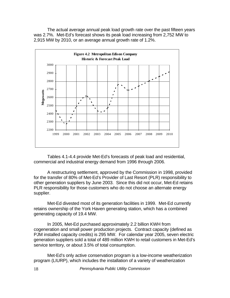The actual average annual peak load growth rate over the past fifteen years was 2.7%. Met-Ed's forecast shows its peak load increasing from 2,752 MW to 2,915 MW by 2010, or an average annual growth rate of 1.2%.



 Tables 4.1-4.4 provide Met-Ed's forecasts of peak load and residential, commercial and industrial energy demand from 1996 through 2006.

 A restructuring settlement, approved by the Commission in 1998, provided for the transfer of 80% of Met-Ed's Provider of Last Resort (PLR) responsibility to other generation suppliers by June 2003. Since this did not occur, Met-Ed retains PLR responsibility for those customers who do not choose an alternate energy supplier.

 Met-Ed divested most of its generation facilities in 1999. Met-Ed currently retains ownership of the York Haven generating station, which has a combined generating capacity of 19.4 MW.

 In 2005, Met-Ed purchased approximately 2.2 billion KWH from cogeneration and small power production projects. Contract capacity (defined as PJM installed capacity credits) is 295 MW. For calendar year 2005, seven electric generation suppliers sold a total of 489 million KWH to retail customers in Met-Ed's service territory, or about 3.5% of total consumption.

Met-Ed's only active conservation program is a low-income weatherization program (LIURP), which includes the installation of a variety of weatherization

18 *Pennsylvania Public Utility Commission*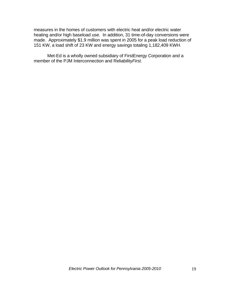measures in the homes of customers with electric heat and/or electric water heating and/or high baseload use. In addition, 31 time-of-day conversions were made. Approximately \$1.9 million was spent in 2005 for a peak load reduction of 151 KW, a load shift of 23 KW and energy savings totaling 1,182,409 KWH.

Met-Ed is a wholly owned subsidiary of FirstEnergy Corporation and a member of the PJM Interconnection and Reliability*First*.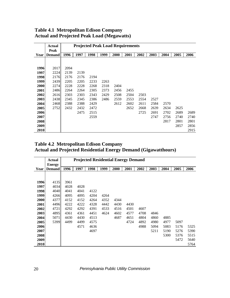|      | <b>Actual</b> |      |      |      |      | <b>Projected Peak Load Requirements</b> |      |      |      |      |      |      |
|------|---------------|------|------|------|------|-----------------------------------------|------|------|------|------|------|------|
|      | Peak          |      |      |      |      |                                         |      |      |      |      |      |      |
| Year | <b>Demand</b> | 1996 | 1997 | 1998 | 1999 | 2000                                    | 2001 | 2002 | 2003 | 2004 | 2005 | 2006 |
|      |               |      |      |      |      |                                         |      |      |      |      |      |      |
|      |               |      |      |      |      |                                         |      |      |      |      |      |      |
| 1996 | 2017          | 2094 |      |      |      |                                         |      |      |      |      |      |      |
| 1997 | 2224          | 2139 | 2139 |      |      |                                         |      |      |      |      |      |      |
| 1998 | 2176          | 2176 | 2176 | 2194 |      |                                         |      |      |      |      |      |      |
| 1999 | 2439          | 2205 | 2205 | 2233 | 2263 |                                         |      |      |      |      |      |      |
| 2000 | 2274          | 2228 | 2228 | 2268 | 2318 | 2404                                    |      |      |      |      |      |      |
| 2001 | 2486          | 2264 | 2264 | 2305 | 2373 | 2456                                    | 2455 |      |      |      |      |      |
| 2002 | 2616          | 2303 | 2303 | 2343 | 2429 | 2508                                    | 2504 | 2503 |      |      |      |      |
| 2003 | 2438          | 2345 | 2345 | 2386 | 2486 | 2559                                    | 2553 | 2554 | 2527 |      |      |      |
| 2004 | 2468          | 2388 | 2388 | 2429 |      | 2612                                    | 2602 | 2611 | 2584 | 2570 |      |      |
| 2005 | 2752          | 2432 | 2432 | 2472 |      |                                         | 2652 | 2668 | 2639 | 2634 | 2625 |      |
| 2006 |               |      | 2475 | 2515 |      |                                         |      | 2725 | 2691 | 2702 | 2689 | 2689 |
| 2007 |               |      |      | 2559 |      |                                         |      |      | 2747 | 2756 | 2740 | 2740 |
| 2008 |               |      |      |      |      |                                         |      |      |      | 2817 | 2801 | 2801 |
| 2009 |               |      |      |      |      |                                         |      |      |      |      | 2857 | 2856 |
| 2010 |               |      |      |      |      |                                         |      |      |      |      |      | 2915 |

#### **Table 4.1 Metropolitan Edison Company Actual and Projected Peak Load (Megawatts)**

#### **Table 4.2 Metropolitan Edison Company Actual and Projected Residential Energy Demand (Gigawatthours)**

|      | Actual                         |      | <b>Projected Residential Energy Demand</b> |      |      |      |      |      |      |      |      |      |  |  |
|------|--------------------------------|------|--------------------------------------------|------|------|------|------|------|------|------|------|------|--|--|
| Year | <b>Energy</b><br><b>Demand</b> | 1996 | 1997                                       | 1998 | 1999 | 2000 | 2001 | 2002 | 2003 | 2004 | 2005 | 2006 |  |  |
|      |                                |      |                                            |      |      |      |      |      |      |      |      |      |  |  |
| 1996 | 4135                           | 3961 |                                            |      |      |      |      |      |      |      |      |      |  |  |
| 1997 | 4034                           | 4028 | 4028                                       |      |      |      |      |      |      |      |      |      |  |  |
| 1998 | 4040                           | 4041 | 4041                                       | 4122 |      |      |      |      |      |      |      |      |  |  |
| 1999 | 4266                           | 4095 | 4095                                       | 4204 | 4264 |      |      |      |      |      |      |      |  |  |
| 2000 | 4377                           | 4152 | 4152                                       | 4264 | 4352 | 4344 |      |      |      |      |      |      |  |  |
| 2001 | 4496                           | 4222 | 4222                                       | 4328 | 4442 | 4430 | 4430 |      |      |      |      |      |  |  |
| 2002 | 4721                           | 4292 | 4292                                       | 4391 | 4533 | 4516 | 4501 | 4607 |      |      |      |      |  |  |
| 2003 | 4895                           | 4361 | 4361                                       | 4451 | 4624 | 4602 | 4577 | 4708 | 4846 |      |      |      |  |  |
| 2004 | 5071                           | 4430 | 4430                                       | 4513 |      | 4687 | 4651 | 4804 | 4860 | 4885 |      |      |  |  |
| 2005 | 5399                           | 4499 | 4499                                       | 4575 |      |      | 4724 | 4892 | 4980 | 4977 | 5097 |      |  |  |
| 2006 |                                |      | 4571                                       | 4636 |      |      |      | 4988 | 5094 | 5083 | 5176 | 5325 |  |  |
| 2007 |                                |      |                                            | 4697 |      |      |      |      | 5211 | 5190 | 5276 | 5390 |  |  |
| 2008 |                                |      |                                            |      |      |      |      |      |      | 5300 | 5376 | 5515 |  |  |
| 2009 |                                |      |                                            |      |      |      |      |      |      |      | 5472 | 5640 |  |  |
| 2010 |                                |      |                                            |      |      |      |      |      |      |      |      | 5764 |  |  |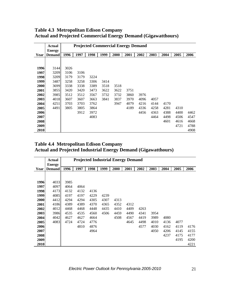|      | <b>Actual</b> |      | <b>Projected Commercial Energy Demand</b> |      |      |      |      |      |      |      |      |      |  |  |  |
|------|---------------|------|-------------------------------------------|------|------|------|------|------|------|------|------|------|--|--|--|
|      | <b>Energy</b> |      |                                           |      |      |      |      |      |      |      |      |      |  |  |  |
| Year | <b>Demand</b> | 1996 | 1997                                      | 1998 | 1999 | 2000 | 2001 | 2002 | 2003 | 2004 | 2005 | 2006 |  |  |  |
|      |               |      |                                           |      |      |      |      |      |      |      |      |      |  |  |  |
|      |               |      |                                           |      |      |      |      |      |      |      |      |      |  |  |  |
| 1996 | 3144          | 3026 |                                           |      |      |      |      |      |      |      |      |      |  |  |  |
| 1997 | 3209          | 3106 | 3106                                      |      |      |      |      |      |      |      |      |      |  |  |  |
| 1998 | 3209          | 3179 | 3179                                      | 3224 |      |      |      |      |      |      |      |      |  |  |  |
| 1999 | 3487          | 3258 | 3258                                      | 3306 | 3414 |      |      |      |      |      |      |      |  |  |  |
| 2000 | 3699          | 3338 | 3338                                      | 3389 | 3518 | 3518 |      |      |      |      |      |      |  |  |  |
| 2001 | 3855          | 3420 | 3420                                      | 3473 | 3622 | 3622 | 3751 |      |      |      |      |      |  |  |  |
| 2002 | 3985          | 3512 | 3512                                      | 3567 | 3732 | 3732 | 3860 | 3976 |      |      |      |      |  |  |  |
| 2003 | 4018          | 3607 | 3607                                      | 3663 | 3841 | 3837 | 3970 | 4096 | 4057 |      |      |      |  |  |  |
| 2004 | 4251          | 3703 | 3703                                      | 3762 |      | 3947 | 4079 | 4216 | 4144 | 4170 |      |      |  |  |  |
| 2005 | 4491          | 3805 | 3805                                      | 3864 |      |      | 4189 | 4336 | 4258 | 4281 | 4310 |      |  |  |  |
| 2006 |               |      | 3912                                      | 3972 |      |      |      | 4456 | 4363 | 4388 | 4400 | 4462 |  |  |  |
| 2007 |               |      |                                           | 4083 |      |      |      |      | 4464 | 4498 | 4506 | 4547 |  |  |  |
| 2008 |               |      |                                           |      |      |      |      |      |      | 4601 | 4616 | 4668 |  |  |  |
| 2009 |               |      |                                           |      |      |      |      |      |      |      | 4721 | 4788 |  |  |  |
| 2010 |               |      |                                           |      |      |      |      |      |      |      |      | 4908 |  |  |  |

#### **Table 4.3 Metropolitan Edison Company Actual and Projected Commercial Energy Demand (Gigawatthours)**

**Table 4.4 Metropolitan Edison Company Actual and Projected Industrial Energy Demand (Gigawatthours)**

|      | <b>Actual</b> |      | <b>Projected Industrial Energy Demand</b> |      |      |      |      |      |      |      |      |      |
|------|---------------|------|-------------------------------------------|------|------|------|------|------|------|------|------|------|
|      | <b>Energy</b> |      |                                           |      |      |      |      |      |      |      |      |      |
| Year | <b>Demand</b> | 1996 | 1997                                      | 1998 | 1999 | 2000 | 2001 | 2002 | 2003 | 2004 | 2005 | 2006 |
|      |               |      |                                           |      |      |      |      |      |      |      |      |      |
| 1996 | 4033          | 3985 |                                           |      |      |      |      |      |      |      |      |      |
| 1997 | 4097          | 4064 | 4064                                      |      |      |      |      |      |      |      |      |      |
| 1998 | 4173          | 4132 | 4132                                      | 4136 |      |      |      |      |      |      |      |      |
| 1999 | 4085          | 4197 | 4197                                      | 4229 | 4239 |      |      |      |      |      |      |      |
| 2000 | 4412          | 4294 | 4294                                      | 4305 | 4307 | 4313 |      |      |      |      |      |      |
| 2001 | 4186          | 4389 | 4389                                      | 4370 | 4365 | 4352 | 4312 |      |      |      |      |      |
| 2002 | 4012          | 4468 | 4468                                      | 4448 | 4435 | 4410 | 4409 | 4263 |      |      |      |      |
| 2003 | 3986          | 4535 | 4535                                      | 4560 | 4506 | 4459 | 4490 | 4341 | 3954 |      |      |      |
| 2004 | 4042          | 4627 | 4627                                      | 4664 |      | 4508 | 4567 | 4419 | 3989 | 4080 |      |      |
| 2005 | 4083          | 4724 | 4724                                      | 4776 |      |      | 4645 | 4498 | 4010 | 4136 | 4077 |      |
| 2006 |               |      | 4810                                      | 4876 |      |      |      | 4577 | 4030 | 4162 | 4119 | 4176 |
| 2007 |               |      |                                           | 4964 |      |      |      |      | 4050 | 4206 | 4145 | 4155 |
| 2008 |               |      |                                           |      |      |      |      |      |      | 4237 | 4175 | 4177 |
| 2009 |               |      |                                           |      |      |      |      |      |      |      | 4195 | 4200 |
| 2010 |               |      |                                           |      |      |      |      |      |      |      |      | 4221 |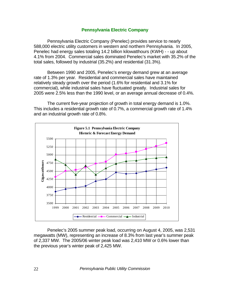#### **Pennsylvania Electric Company**

Pennsylvania Electric Company (Penelec) provides service to nearly 588,000 electric utility customers in western and northern Pennsylvania. In 2005, Penelec had energy sales totaling 14.2 billion kilowatthours (KWH) - - up about 4.1% from 2004. Commercial sales dominated Penelec's market with 35.2% of the total sales, followed by industrial (35.2%) and residential (31.3%).

 Between 1990 and 2005, Penelec's energy demand grew at an average rate of 1.3% per year. Residential and commercial sales have maintained relatively steady growth over the period (1.6% for residential and 3.1% for commercial), while industrial sales have fluctuated greatly. Industrial sales for 2005 were 2.5% less than the 1990 level, or an average annual decrease of 0.4%.

 The current five-year projection of growth in total energy demand is 1.0%. This includes a residential growth rate of 0.7%, a commercial growth rate of 1.4% and an industrial growth rate of 0.8%.



 Penelec's 2005 summer peak load, occurring on August 4, 2005, was 2,531 megawatts (MW), representing an increase of 8.3% from last year's summer peak of 2,337 MW. The 2005/06 winter peak load was 2,410 MW or 0.6% lower than the previous year's winter peak of 2,425 MW.

22 *Pennsylvania Public Utility Commission*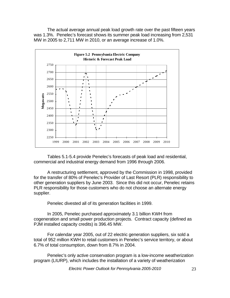The actual average annual peak load growth rate over the past fifteen years was 1.3%. Penelec's forecast shows its summer peak load increasing from 2,531 MW in 2005 to 2,711 MW in 2010, or an average increase of 1.0%.



 Tables 5.1-5.4 provide Penelec's forecasts of peak load and residential, commercial and industrial energy demand from 1996 through 2006.

 A restructuring settlement, approved by the Commission in 1998, provided for the transfer of 80% of Penelec's Provider of Last Resort (PLR) responsibility to other generation suppliers by June 2003. Since this did not occur, Penelec retains PLR responsibility for those customers who do not choose an alternate energy supplier.

Penelec divested all of its generation facilities in 1999.

 In 2005, Penelec purchased approximately 3.1 billion KWH from cogeneration and small power production projects. Contract capacity (defined as PJM installed capacity credits) is 396.45 MW.

For calendar year 2005, out of 22 electric generation suppliers, six sold a total of 952 million KWH to retail customers in Penelec's service territory, or about 6.7% of total consumption, down from 8.7% in 2004.

Penelec's only active conservation program is a low-income weatherization program (LIURP), which includes the installation of a variety of weatherization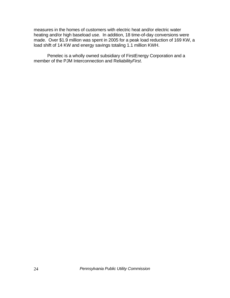measures in the homes of customers with electric heat and/or electric water heating and/or high baseload use. In addition, 18 time-of-day conversions were made. Over \$1.9 million was spent in 2005 for a peak load reduction of 169 KW, a load shift of 14 KW and energy savings totaling 1.1 million KWH.

Penelec is a wholly owned subsidiary of FirstEnergy Corporation and a member of the PJM Interconnection and Reliability*First*.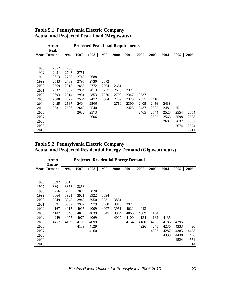|      | Actual        |      | <b>Projected Peak Load Requirements</b> |      |      |      |      |      |      |      |      |      |  |  |  |
|------|---------------|------|-----------------------------------------|------|------|------|------|------|------|------|------|------|--|--|--|
|      | Peak          |      |                                         |      |      |      |      |      |      |      |      |      |  |  |  |
| Year | <b>Demand</b> | 1996 | 1997                                    | 1998 | 1999 | 2000 | 2001 | 2002 | 2003 | 2004 | 2005 | 2006 |  |  |  |
|      |               |      |                                         |      |      |      |      |      |      |      |      |      |  |  |  |
|      |               |      |                                         |      |      |      |      |      |      |      |      |      |  |  |  |
| 1996 | 2652          | 2706 |                                         |      |      |      |      |      |      |      |      |      |  |  |  |
| 1997 | 2481          | 2743 | 2751                                    |      |      |      |      |      |      |      |      |      |  |  |  |
| 1998 | 2613          | 2728 | 2742                                    | 2688 |      |      |      |      |      |      |      |      |  |  |  |
| 1999 | 2583          | 2769 | 2795                                    | 2730 | 2672 |      |      |      |      |      |      |      |  |  |  |
| 2000 | 2569          | 2818 | 2855                                    | 2772 | 2704 | 2651 |      |      |      |      |      |      |  |  |  |
| 2001 | 2337          | 2867 | 2904                                    | 2813 | 2737 | 2675 | 2321 |      |      |      |      |      |  |  |  |
| 2002 | 2693          | 2914 | 2951                                    | 2853 | 2770 | 2700 | 2347 | 2337 |      |      |      |      |  |  |  |
| 2003 | 2308          | 2527 | 2564                                    | 2472 | 2804 | 2737 | 2373 | 2375 | 2410 |      |      |      |  |  |  |
| 2004 | 2425          | 2567 | 2604                                    | 2506 |      | 2760 | 2399 | 2405 | 2456 | 2438 |      |      |  |  |  |
| 2005 | 2531          | 2606 | 2643                                    | 2540 |      |      | 2425 | 2437 | 2505 | 2481 | 2511 |      |  |  |  |
| 2006 |               |      | 2682                                    | 2573 |      |      |      | 2465 | 2544 | 2525 | 2554 | 2554 |  |  |  |
| 2007 |               |      |                                         | 2606 |      |      |      |      | 2592 | 2565 | 2598 | 2598 |  |  |  |
| 2008 |               |      |                                         |      |      |      |      |      |      | 2604 | 2637 | 2637 |  |  |  |
| 2009 |               |      |                                         |      |      |      |      |      |      |      | 2674 | 2674 |  |  |  |
| 2010 |               |      |                                         |      |      |      |      |      |      |      |      | 2711 |  |  |  |

#### **Table 5.1 Pennsylvania Electric Company Actual and Projected Peak Load (Megawatts)**

#### **Table 5.2 Pennsylvania Electric Company Actual and Projected Residential Energy Demand (Gigawatthours)**

|      | <b>Actual</b>                  |      | <b>Projected Residential Energy Demand</b> |      |      |      |      |      |      |      |      |      |  |  |  |
|------|--------------------------------|------|--------------------------------------------|------|------|------|------|------|------|------|------|------|--|--|--|
| Year | <b>Energy</b><br><b>Demand</b> | 1996 | 1997                                       | 1998 | 1999 | 2000 | 2001 | 2002 | 2003 | 2004 | 2005 | 2006 |  |  |  |
|      |                                |      |                                            |      |      |      |      |      |      |      |      |      |  |  |  |
| 1996 | 3897                           | 3813 |                                            |      |      |      |      |      |      |      |      |      |  |  |  |
| 1997 | 3801                           | 3853 | 3853                                       |      |      |      |      |      |      |      |      |      |  |  |  |
| 1998 | 3756                           | 3890 | 3890                                       | 3870 |      |      |      |      |      |      |      |      |  |  |  |
| 1999 | 3864                           | 3921 | 3921                                       | 3922 | 3894 |      |      |      |      |      |      |      |  |  |  |
| 2000 | 3949                           | 3948 | 3948                                       | 3950 | 3931 | 3881 |      |      |      |      |      |      |  |  |  |
| 2001 | 3991                           | 3982 | 3982                                       | 3979 | 3968 | 3915 | 3977 |      |      |      |      |      |  |  |  |
| 2002 | 4167                           | 4015 | 4015                                       | 4009 | 4007 | 3951 | 4021 | 4043 |      |      |      |      |  |  |  |
| 2003 | 4187                           | 4046 | 4046                                       | 4039 | 4045 | 3984 | 4065 | 4089 | 4194 |      |      |      |  |  |  |
| 2004 | 4249                           | 4077 | 4077                                       | 4069 |      | 4017 | 4109 | 4134 | 4162 | 4135 |      |      |  |  |  |
| 2005 | 4457                           | 4109 | 4109                                       | 4099 |      |      | 4154 | 4180 | 4203 | 4186 | 4295 |      |  |  |  |
| 2006 |                                |      | 4139                                       | 4129 |      |      |      | 4226 | 4245 | 4236 | 4333 | 4420 |  |  |  |
| 2007 |                                |      |                                            | 4160 |      |      |      |      | 4287 | 4287 | 4385 | 4438 |  |  |  |
| 2008 |                                |      |                                            |      |      |      |      |      |      | 4339 | 4438 | 4496 |  |  |  |
| 2009 |                                |      |                                            |      |      |      |      |      |      |      | 4524 | 4554 |  |  |  |
| 2010 |                                |      |                                            |      |      |      |      |      |      |      |      | 4614 |  |  |  |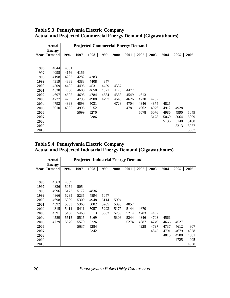|      | <b>Actual</b> |      | <b>Projected Commercial Energy Demand</b> |      |      |      |      |      |      |      |      |      |  |  |  |
|------|---------------|------|-------------------------------------------|------|------|------|------|------|------|------|------|------|--|--|--|
|      | <b>Energy</b> |      |                                           |      |      |      |      |      |      |      |      |      |  |  |  |
| Year | <b>Demand</b> | 1996 | 1997                                      | 1998 | 1999 | 2000 | 2001 | 2002 | 2003 | 2004 | 2005 | 2006 |  |  |  |
|      |               |      |                                           |      |      |      |      |      |      |      |      |      |  |  |  |
|      |               |      |                                           |      |      |      |      |      |      |      |      |      |  |  |  |
| 1996 | 4044          | 4031 |                                           |      |      |      |      |      |      |      |      |      |  |  |  |
| 1997 | 4098          | 4156 | 4156                                      |      |      |      |      |      |      |      |      |      |  |  |  |
| 1998 | 4198          | 4282 | 4282                                      | 4283 |      |      |      |      |      |      |      |      |  |  |  |
| 1999 | 4319          | 4388 | 4388                                      | 4408 | 4347 |      |      |      |      |      |      |      |  |  |  |
| 2000 | 4509          | 4495 | 4495                                      | 4531 | 4459 | 4387 |      |      |      |      |      |      |  |  |  |
| 2001 | 4538          | 4600 | 4600                                      | 4658 | 4571 | 4473 | 4472 |      |      |      |      |      |  |  |  |
| 2002 | 4697          | 4695 | 4695                                      | 4784 | 4684 | 4558 | 4549 | 4613 |      |      |      |      |  |  |  |
| 2003 | 4727          | 4795 | 4795                                      | 4908 | 4797 | 4643 | 4626 | 4730 | 4782 |      |      |      |  |  |  |
| 2004 | 4792          | 4898 | 4898                                      | 5031 |      | 4728 | 4704 | 4846 | 4874 | 4825 |      |      |  |  |  |
| 2005 | 5010          | 4995 | 4995                                      | 5152 |      |      | 4781 | 4962 | 4976 | 4912 | 4928 |      |  |  |  |
| 2006 |               |      | 5099                                      | 5270 |      |      |      | 5078 | 5076 | 4986 | 4990 | 5049 |  |  |  |
| 2007 |               |      |                                           | 5386 |      |      |      |      | 5178 | 5060 | 5064 | 5099 |  |  |  |
| 2008 |               |      |                                           |      |      |      |      |      |      | 5136 | 5140 | 5188 |  |  |  |
| 2009 |               |      |                                           |      |      |      |      |      |      |      | 5213 | 5277 |  |  |  |
| 2010 |               |      |                                           |      |      |      |      |      |      |      |      | 5367 |  |  |  |

**Table 5.3 Pennsylvania Electric Company Actual and Projected Commercial Energy Demand (Gigawatthours)**

**Table 5.4 Pennsylvania Electric Company Actual and Projected Industrial Energy Demand (Gigawatthours)**

|      | <b>Actual</b> |      |                                           |      |      |      |      |      |      |      |      |      |  |  |  |
|------|---------------|------|-------------------------------------------|------|------|------|------|------|------|------|------|------|--|--|--|
|      | <b>Energy</b> |      | <b>Projected Industrial Energy Demand</b> |      |      |      |      |      |      |      |      |      |  |  |  |
| Year | <b>Demand</b> | 1996 | 1997                                      | 1998 | 1999 | 2000 | 2001 | 2002 | 2003 | 2004 | 2005 | 2006 |  |  |  |
|      |               |      |                                           |      |      |      |      |      |      |      |      |      |  |  |  |
|      |               |      |                                           |      |      |      |      |      |      |      |      |      |  |  |  |
| 1996 | 4563          | 4809 |                                           |      |      |      |      |      |      |      |      |      |  |  |  |
| 1997 | 4836          | 5054 | 5054                                      |      |      |      |      |      |      |      |      |      |  |  |  |
| 1998 | 4996          | 5172 | 5172                                      | 4836 |      |      |      |      |      |      |      |      |  |  |  |
| 1999 | 4866          | 5235 | 5235                                      | 4894 | 5047 |      |      |      |      |      |      |      |  |  |  |
| 2000 | 4698          | 5309 | 5309                                      | 4948 | 5114 | 5004 |      |      |      |      |      |      |  |  |  |
| 2001 | 4392          | 5363 | 5363                                      | 5002 | 5205 | 5093 | 4857 |      |      |      |      |      |  |  |  |
| 2002 | 4315          | 5411 | 5411                                      | 5057 | 5293 | 5177 | 5144 | 4670 |      |      |      |      |  |  |  |
| 2003 | 4391          | 5460 | 5460                                      | 5113 | 5383 | 5239 | 5214 | 4783 | 4492 |      |      |      |  |  |  |
|      | 4589          | 5515 | 5515                                      | 5169 |      | 5306 | 5244 | 4846 | 4708 | 4561 |      |      |  |  |  |
| 2004 | 4729          | 5570 | 5570                                      | 5226 |      |      | 5274 | 4887 | 4749 | 4666 | 4527 |      |  |  |  |
| 2005 |               |      |                                           |      |      |      |      |      |      |      |      |      |  |  |  |
| 2006 |               |      | 5637                                      | 5284 |      |      |      | 4928 | 4797 | 4737 | 4612 | 4807 |  |  |  |
| 2007 |               |      |                                           | 5342 |      |      |      |      | 4845 | 4791 | 4679 | 4828 |  |  |  |
| 2008 |               |      |                                           |      |      |      |      |      |      | 4815 | 4708 | 4881 |  |  |  |
| 2009 |               |      |                                           |      |      |      |      |      |      |      | 4725 | 4905 |  |  |  |
| 2010 |               |      |                                           |      |      |      |      |      |      |      |      | 4930 |  |  |  |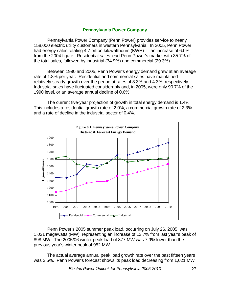#### **Pennsylvania Power Company**

Pennsylvania Power Company (Penn Power) provides service to nearly 158,000 electric utility customers in western Pennsylvania. In 2005, Penn Power had energy sales totaling 4.7 billion kilowatthours (KWH) - - an increase of 6.0% from the 2004 figure. Residential sales lead Penn Power's market with 35.7% of the total sales, followed by industrial (34.9%) and commercial (29.3%).

 Between 1990 and 2005, Penn Power's energy demand grew at an average rate of 1.8% per year. Residential and commercial sales have maintained relatively steady growth over the period at rates of 3.3% and 4.3%, respectively. Industrial sales have fluctuated considerably and, in 2005, were only 90.7% of the 1990 level, or an average annual decline of 0.6%.

 The current five-year projection of growth in total energy demand is 1.4%. This includes a residential growth rate of 2.0%, a commercial growth rate of 2.3% and a rate of decline in the industrial sector of 0.4%.



 Penn Power's 2005 summer peak load, occurring on July 26, 2005, was 1,021 megawatts (MW), representing an increase of 13.7% from last year's peak of 898 MW. The 2005/06 winter peak load of 877 MW was 7.9% lower than the previous year's winter peak of 952 MW.

 The actual average annual peak load growth rate over the past fifteen years was 2.5%. Penn Power's forecast shows its peak load decreasing from 1,021 MW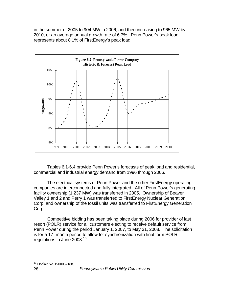in the summer of 2005 to 904 MW in 2006, and then increasing to 965 MW by 2010, or an average annual growth rate of 6.7%. Penn Power's peak load represents about 8.1% of FirstEnergy's peak load.



 Tables 6.1-6.4 provide Penn Power's forecasts of peak load and residential, commercial and industrial energy demand from 1996 through 2006.

 The electrical systems of Penn Power and the other FirstEnergy operating companies are interconnected and fully integrated. All of Penn Power's generating facility ownership (1,237 MW) was transferred in 2005. Ownership of Beaver Valley 1 and 2 and Perry 1 was transferred to FirstEnergy Nuclear Generation Corp. and ownership of the fossil units was transferred to FirstEnergy Generation Corp.

 Competitive bidding has been taking place during 2006 for provider of last resort (POLR) service for all customers electing to receive default service from Penn Power during the period January 1, 2007, to May 31, 2008. The solicitation is for a 17- month period to allow for synchronization with final form POLR regulations in June 2008.<sup>[10](#page-32-0)</sup>

<span id="page-32-0"></span> $\overline{a}$ 10 Docket No. P-00052188.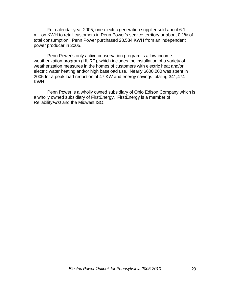For calendar year 2005, one electric generation supplier sold about 6.1 million KWH to retail customers in Penn Power's service territory or about 0.1% of total consumption. Penn Power purchased 28,584 KWH from an independent power producer in 2005.

Penn Power's only active conservation program is a low-income weatherization program (LIURP), which includes the installation of a variety of weatherization measures in the homes of customers with electric heat and/or electric water heating and/or high baseload use. Nearly \$600,000 was spent in 2005 for a peak load reduction of 47 KW and energy savings totaling 341,474 KWH.

 Penn Power is a wholly owned subsidiary of Ohio Edison Company which is a wholly owned subsidiary of FirstEnergy. FirstEnergy is a member of Reliability*First* and the Midwest ISO.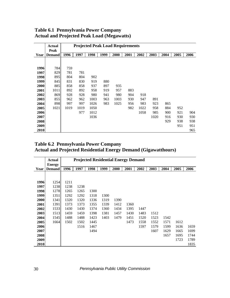|      | <b>Actual</b> |      | <b>Projected Peak Load Requirements</b> |      |      |      |      |      |      |      |      |      |
|------|---------------|------|-----------------------------------------|------|------|------|------|------|------|------|------|------|
|      | Peak          |      |                                         |      |      |      |      |      |      |      |      |      |
| Year | <b>Demand</b> | 1996 | 1997                                    | 1998 | 1999 | 2000 | 2001 | 2002 | 2003 | 2004 | 2005 | 2006 |
|      |               |      |                                         |      |      |      |      |      |      |      |      |      |
|      |               |      |                                         |      |      |      |      |      |      |      |      |      |
| 1996 | 784           | 759  |                                         |      |      |      |      |      |      |      |      |      |
| 1997 | 829           | 781  | 781                                     |      |      |      |      |      |      |      |      |      |
| 1998 | 895           | 804  | 804                                     | 902  |      |      |      |      |      |      |      |      |
| 1999 | 845           | 831  | 830                                     | 919  | 880  |      |      |      |      |      |      |      |
| 2000 | 885           | 858  | 858                                     | 937  | 897  | 935  |      |      |      |      |      |      |
| 2001 | 1011          | 892  | 892                                     | 958  | 919  | 957  | 883  |      |      |      |      |      |
| 2002 | 869           | 928  | 928                                     | 980  | 941  | 980  | 904  | 918  |      |      |      |      |
| 2003 | 855           | 962  | 962                                     | 1003 | 963  | 1003 | 930  | 947  | 891  |      |      |      |
| 2004 | 898           | 997  | 997                                     | 1026 | 983  | 1025 | 956  | 983  | 923  | 865  |      |      |
| 2005 | 1021          | 1019 | 1019                                    | 1050 |      |      | 982  | 1022 | 958  | 884  | 952  |      |
| 2006 |               |      | 977                                     | 1012 |      |      |      | 1058 | 985  | 900  | 921  | 904  |
| 2007 |               |      |                                         | 1036 |      |      |      |      | 1020 | 916  | 930  | 930  |
| 2008 |               |      |                                         |      |      |      |      |      |      | 929  | 938  | 938  |
| 2009 |               |      |                                         |      |      |      |      |      |      |      | 951  | 951  |
| 2010 |               |      |                                         |      |      |      |      |      |      |      |      | 965  |

#### **Table 6.1 Pennsylvania Power Company Actual and Projected Peak Load (Megawatts)**

#### **Table 6.2 Pennsylvania Power Company Actual and Projected Residential Energy Demand (Gigawatthours)**

|      | <b>Actual</b> |      |      | <b>Projected Residential Energy Demand</b> |      |      |      |      |      |      |      |      |
|------|---------------|------|------|--------------------------------------------|------|------|------|------|------|------|------|------|
|      | <b>Energy</b> |      |      |                                            |      |      |      |      |      |      |      |      |
| Year | <b>Demand</b> | 1996 | 1997 | 1998                                       | 1999 | 2000 | 2001 | 2002 | 2003 | 2004 | 2005 | 2006 |
|      |               |      |      |                                            |      |      |      |      |      |      |      |      |
|      |               |      |      |                                            |      |      |      |      |      |      |      |      |
| 1996 | 1254          | 1211 |      |                                            |      |      |      |      |      |      |      |      |
| 1997 | 1238          | 1238 | 1238 |                                            |      |      |      |      |      |      |      |      |
| 1998 | 1278          | 1265 | 1265 | 1300                                       |      |      |      |      |      |      |      |      |
| 1999 | 1351          | 1292 | 1292 | 1318                                       | 1300 |      |      |      |      |      |      |      |
| 2000 | 1341          | 1320 | 1320 | 1336                                       | 1319 | 1390 |      |      |      |      |      |      |
| 2001 | 1391          | 1373 | 1373 | 1355                                       | 1339 | 1412 | 1360 |      |      |      |      |      |
| 2002 | 1533          | 1430 | 1430 | 1374                                       | 1360 | 1434 | 1395 | 1447 |      |      |      |      |
| 2003 | 1513          | 1459 | 1459 | 1398                                       | 1381 | 1457 | 1430 | 1483 | 1512 |      |      |      |
| 2004 | 1545          | 1488 | 1488 | 1423                                       | 1403 | 1479 | 1451 | 1520 | 1523 | 1542 |      |      |
| 2005 | 1664          | 1502 | 1502 | 1445                                       |      |      | 1473 | 1558 | 1552 | 1571 | 1612 |      |
| 2006 |               |      | 1516 | 1467                                       |      |      |      | 1597 | 1579 | 1599 | 1636 | 1659 |
| 2007 |               |      |      | 1494                                       |      |      |      |      | 1607 | 1629 | 1665 | 1699 |
| 2008 |               |      |      |                                            |      |      |      |      |      | 1657 | 1695 | 1744 |
| 2009 |               |      |      |                                            |      |      |      |      |      |      | 1723 | 1789 |
| 2010 |               |      |      |                                            |      |      |      |      |      |      |      | 1835 |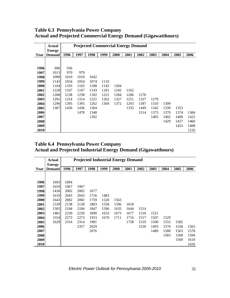|      | <b>Actual</b> |      | <b>Projected Commercial Energy Demand</b> |      |      |      |      |      |      |      |      |      |  |  |  |
|------|---------------|------|-------------------------------------------|------|------|------|------|------|------|------|------|------|--|--|--|
|      | <b>Energy</b> |      |                                           |      |      |      |      |      |      |      |      |      |  |  |  |
| Year | <b>Demand</b> | 1996 | 1997                                      | 1998 | 1999 | 2000 | 2001 | 2002 | 2003 | 2004 | 2005 | 2006 |  |  |  |
|      |               |      |                                           |      |      |      |      |      |      |      |      |      |  |  |  |
|      |               |      |                                           |      |      |      |      |      |      |      |      |      |  |  |  |
| 1996 | 996           | 936  |                                           |      |      |      |      |      |      |      |      |      |  |  |  |
| 1997 | 1013          | 970  | 970                                       |      |      |      |      |      |      |      |      |      |  |  |  |
| 1998 | 1090          | 1010 | 1010                                      | 1042 |      |      |      |      |      |      |      |      |  |  |  |
| 1999 | 1143          | 1054 | 1054                                      | 1074 | 1110 |      |      |      |      |      |      |      |  |  |  |
| 2000 | 1164          | 1103 | 1103                                      | 1108 | 1145 | 1204 |      |      |      |      |      |      |  |  |  |
| 2001 | 1220          | 1167 | 1167                                      | 1143 | 1181 | 1242 | 1162 |      |      |      |      |      |  |  |  |
| 2002 | 1268          | 1238 | 1238                                      | 1182 | 1221 | 1284 | 1206 | 1270 |      |      |      |      |  |  |  |
| 2003 | 1291          | 1314 | 1314                                      | 1221 | 1262 | 1327 | 1251 | 1327 | 1279 |      |      |      |  |  |  |
| 2004 | 1296          | 1395 | 1395                                      | 1262 | 1304 | 1372 | 1293 | 1387 | 1310 | 1309 |      |      |  |  |  |
| 2005 | 1367          | 1436 | 1436                                      | 1304 |      |      | 1335 | 1449 | 1342 | 1339 | 1353 |      |  |  |  |
| 2006 |               |      | 1478                                      | 1348 |      |      |      | 1514 | 1373 | 1370 | 1374 | 1384 |  |  |  |
| 2007 |               |      |                                           | 1392 |      |      |      |      | 1405 | 1402 | 1400 | 1422 |  |  |  |
| 2008 |               |      |                                           |      |      |      |      |      |      | 1429 | 1427 | 1460 |  |  |  |
| 2009 |               |      |                                           |      |      |      |      |      |      |      | 1453 | 1498 |  |  |  |
| 2010 |               |      |                                           |      |      |      |      |      |      |      |      | 1535 |  |  |  |

**Table 6.3 Pennsylvania Power Company Actual and Projected Commercial Energy Demand (Gigawatthours)**

**Table 6.4 Pennsylvania Power Company Actual and Projected Industrial Energy Demand (Gigawatthours)**

|      | <b>Projected Industrial Energy Demand</b><br><b>Actual</b><br><b>Energy</b> |      |      |      |      |      |      |      |      |      |      |      |  |  |
|------|-----------------------------------------------------------------------------|------|------|------|------|------|------|------|------|------|------|------|--|--|
| Year | <b>Demand</b>                                                               | 1996 | 1997 | 1998 | 1999 | 2000 | 2001 | 2002 | 2003 | 2004 | 2005 | 2006 |  |  |
|      |                                                                             |      |      |      |      |      |      |      |      |      |      |      |  |  |
| 1996 | 1693                                                                        | 1894 |      |      |      |      |      |      |      |      |      |      |  |  |
| 1997 | 1659                                                                        | 1967 | 1967 |      |      |      |      |      |      |      |      |      |  |  |
| 1998 | 1436                                                                        | 2002 | 2002 | 1677 |      |      |      |      |      |      |      |      |  |  |
| 1999 | 1619                                                                        | 2043 | 2043 | 1716 | 1483 |      |      |      |      |      |      |      |  |  |
| 2000 | 1643                                                                        | 2082 | 2082 | 1759 | 1520 | 1563 |      |      |      |      |      |      |  |  |
| 2001 | 1539                                                                        | 2138 | 2138 | 1803 | 1558 | 1596 | 1618 |      |      |      |      |      |  |  |
| 2002 | 1505                                                                        | 2184 | 2184 | 1847 | 1596 | 1635 | 1644 | 1514 |      |      |      |      |  |  |
| 2003 | 1481                                                                        | 2230 | 2230 | 1890 | 1633 | 1673 | 1677 | 1516 | 1521 |      |      |      |  |  |
| 2004 | 1554                                                                        | 2273 | 2273 | 1933 | 1670 | 1711 | 1716 | 1517 | 1507 | 1529 |      |      |  |  |
| 2005 | 1629                                                                        | 2314 | 2314 | 1981 |      |      | 1758 | 1519 | 1500 | 1555 | 1582 |      |  |  |
| 2006 |                                                                             |      | 2357 | 2029 |      |      |      | 1520 | 1493 | 1570 | 1558 | 1565 |  |  |
| 2007 |                                                                             |      |      | 2076 |      |      |      |      | 1489 | 1580 | 1563 | 1578 |  |  |
| 2008 |                                                                             |      |      |      |      |      |      |      |      | 1583 | 1568 | 1594 |  |  |
| 2009 |                                                                             |      |      |      |      |      |      |      |      |      | 1569 | 1610 |  |  |
| 2010 |                                                                             |      |      |      |      |      |      |      |      |      |      | 1626 |  |  |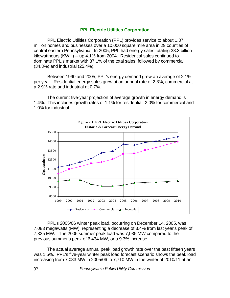#### **PPL Electric Utilities Corporation**

 PPL Electric Utilities Corporation (PPL) provides service to about 1.37 million homes and businesses over a 10,000 square mile area in 29 counties of central eastern Pennsylvania. In 2005, PPL had energy sales totaling 38.3 billion kilowatthours (KWH) -- up 4.1% from 2004. Residential sales continued to dominate PPL's market with 37.1% of the total sales, followed by commercial (34.3%) and industrial (25.4%).

Between 1990 and 2005, PPL's energy demand grew an average of 2.1% per year. Residential energy sales grew at an annual rate of 2.3%, commercial at a 2.9% rate and industrial at 0.7%.

The current five-year projection of average growth in energy demand is 1.4%. This includes growth rates of 1.1% for residential, 2.0% for commercial and 1.0% for industrial.



PPL's 2005/06 winter peak load, occurring on December 14, 2005, was 7,083 megawatts (MW), representing a decrease of 3.4% from last year's peak of 7,335 MW. The 2005 summer peak load was 7,035 MW compared to the previous summer's peak of 6,434 MW, or a 9.3% increase.

The actual average annual peak load growth rate over the past fifteen years was 1.5%. PPL's five-year winter peak load forecast scenario shows the peak load increasing from 7,083 MW in 2005/06 to 7,710 MW in the winter of 2010/11 at an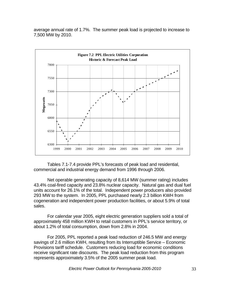average annual rate of 1.7%. The summer peak load is projected to increase to 7,500 MW by 2010.



Tables 7.1-7.4 provide PPL's forecasts of peak load and residential, commercial and industrial energy demand from 1996 through 2006.

Net operable generating capacity of 8,614 MW (summer rating) includes 43.4% coal-fired capacity and 23.8% nuclear capacity. Natural gas and dual fuel units account for 26.1% of the total. Independent power producers also provided 293 MW to the system. In 2005, PPL purchased nearly 2.3 billion KWH from cogeneration and independent power production facilities, or about 5.9% of total sales.

For calendar year 2005, eight electric generation suppliers sold a total of approximately 458 million KWH to retail customers in PPL's service territory, or about 1.2% of total consumption, down from 2.8% in 2004.

For 2005, PPL reported a peak load reduction of 246.5 MW and energy savings of 2.6 million KWH, resulting from its Interruptible Service – Economic Provisions tariff schedule. Customers reducing load for economic conditions receive significant rate discounts. The peak load reduction from this program represents approximately 3.5% of the 2005 summer peak load.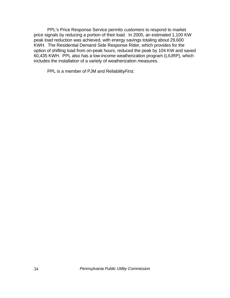PPL's Price Response Service permits customers to respond to market price signals by reducing a portion of their load. In 2005, an estimated 1,100 KW peak load reduction was achieved, with energy savings totaling about 29,600 KWH. The Residential Demand Side Response Rider, which provides for the option of shifting load from on-peak hours, reduced the peak by 104 KW and saved 60,435 KWH. PPL also has a low-income weatherization program (LIURP), which includes the installation of a variety of weatherization measures.

PPL is a member of PJM and Reliability*First*.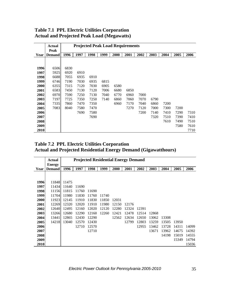|      | Actual        |      |      | <b>Projected Peak Load Requirements</b> |      |      |      |      |      |      |      |      |
|------|---------------|------|------|-----------------------------------------|------|------|------|------|------|------|------|------|
|      | Peak          |      |      |                                         |      |      |      |      |      |      |      |      |
| Year | <b>Demand</b> | 1996 | 1997 | 1998                                    | 1999 | 2000 | 2001 | 2002 | 2003 | 2004 | 2005 | 2006 |
|      |               |      |      |                                         |      |      |      |      |      |      |      |      |
|      |               |      |      |                                         |      |      |      |      |      |      |      |      |
| 1996 | 6506          | 6830 |      |                                         |      |      |      |      |      |      |      |      |
| 1997 | 5925          | 6920 | 6910 |                                         |      |      |      |      |      |      |      |      |
| 1998 | 6688          | 7055 | 6935 | 6910                                    |      |      |      |      |      |      |      |      |
| 1999 | 6746          | 7190 | 7030 | 6935                                    | 6815 |      |      |      |      |      |      |      |
| 2000 | 6355          | 7315 | 7120 | 7030                                    | 6905 | 6580 |      |      |      |      |      |      |
| 2001 | 6583          | 7450 | 7130 | 7120                                    | 7006 | 6680 | 6850 |      |      |      |      |      |
| 2002 | 6970          | 7590 | 7250 | 7130                                    | 7040 | 6770 | 6960 | 7000 |      |      |      |      |
| 2003 | 7197          | 7725 | 7350 | 7250                                    | 7140 | 6860 | 7060 | 7070 | 6790 |      |      |      |
| 2004 | 7335          | 7860 | 7470 | 7350                                    |      | 6960 | 7170 | 7040 | 6860 | 7200 |      |      |
| 2005 | 7083          | 8040 | 7580 | 7470                                    |      |      | 7270 | 7120 | 7000 | 7300 | 7200 |      |
| 2006 |               |      | 7690 | 7580                                    |      |      |      | 7200 | 7140 | 7410 | 7290 | 7310 |
| 2007 |               |      |      | 7690                                    |      |      |      |      | 7320 | 7510 | 7390 | 7410 |
| 2008 |               |      |      |                                         |      |      |      |      |      | 7610 | 7490 | 7510 |
| 2009 |               |      |      |                                         |      |      |      |      |      |      | 7580 | 7610 |
| 2010 |               |      |      |                                         |      |      |      |      |      |      |      | 7710 |

## **Table 7.1 PPL Electric Utilities Corporation Actual and Projected Peak Load (Megawatts)**

## **Table 7.2 PPL Electric Utilities Corporation Actual and Projected Residential Energy Demand (Gigawatthours)**

|      | <b>Actual</b> |       |       | <b>Projected Residential Energy Demand</b> |       |       |       |       |       |       |       |       |
|------|---------------|-------|-------|--------------------------------------------|-------|-------|-------|-------|-------|-------|-------|-------|
|      | <b>Energy</b> |       |       | 1998                                       | 1999  |       |       |       |       |       |       | 2006  |
| Year | <b>Demand</b> | 1996  | 1997  |                                            |       | 2000  | 2001  | 2002  | 2003  | 2004  | 2005  |       |
|      |               |       |       |                                            |       |       |       |       |       |       |       |       |
| 1996 | 11848         | 11475 |       |                                            |       |       |       |       |       |       |       |       |
| 1997 | 11434         | 11640 | 11690 |                                            |       |       |       |       |       |       |       |       |
| 1998 | 11156         | 11815 | 11760 | 11690                                      |       |       |       |       |       |       |       |       |
|      | 11704         | 11980 | 11830 |                                            |       |       |       |       |       |       |       |       |
| 1999 |               |       |       | 11760                                      | 11740 |       |       |       |       |       |       |       |
| 2000 | 11923         | 12145 | 11910 | 11830                                      | 11850 | 12031 |       |       |       |       |       |       |
| 2001 | 12269         | 12320 | 12020 | 11910                                      | 11980 | 12150 | 12176 |       |       |       |       |       |
| 2002 | 12640         | 12495 | 12160 | 12020                                      | 12120 | 12280 | 12324 | 12391 |       |       |       |       |
| 2003 | 13266         | 12680 | 12290 | 12160                                      | 12260 | 12421 | 12478 | 12514 | 12868 |       |       |       |
| 2004 | 13441         | 12865 | 12430 | 12290                                      |       | 12562 | 12634 | 12650 | 13062 | 13308 |       |       |
| 2005 | 14218         | 13040 | 12570 | 12430                                      |       |       | 12799 | 12803 | 13259 | 13505 | 13950 |       |
| 2006 |               |       | 12710 | 12570                                      |       |       |       | 12955 | 13462 | 13728 | 14311 | 14099 |
| 2007 |               |       |       | 12710                                      |       |       |       |       | 13671 | 13962 | 14675 | 14392 |
| 2008 |               |       |       |                                            |       |       |       |       |       | 14198 | 15019 | 14555 |
| 2009 |               |       |       |                                            |       |       |       |       |       |       | 15349 | 14794 |
| 2010 |               |       |       |                                            |       |       |       |       |       |       |       | 15036 |

*Electric Power Outlook for Pennsylvania 2005-2010* 35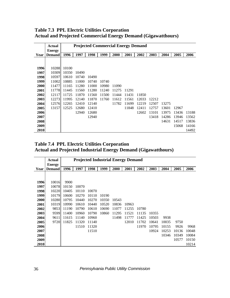|      | Actual        |             | <b>Projected Commercial Energy Demand</b> |       |       |       |       |       |       |       |       |       |
|------|---------------|-------------|-------------------------------------------|-------|-------|-------|-------|-------|-------|-------|-------|-------|
|      | <b>Energy</b> |             |                                           |       |       |       |       |       |       |       |       |       |
| Year | <b>Demand</b> | 1996        | 1997                                      | 1998  | 1999  | 2000  | 2001  | 2002  | 2003  | 2004  | 2005  | 2006  |
|      |               |             |                                           |       |       |       |       |       |       |       |       |       |
|      |               |             |                                           |       |       |       |       |       |       |       |       |       |
| 1996 |               | 10288 10100 |                                           |       |       |       |       |       |       |       |       |       |
| 1997 | 10309         | 10350       | 10490                                     |       |       |       |       |       |       |       |       |       |
| 1998 | 10597         | 10610       | 10740                                     | 10490 |       |       |       |       |       |       |       |       |
| 1999 | 11002         | 10885       | 11000                                     | 10740 | 10740 |       |       |       |       |       |       |       |
| 2000 | 11477         | 11165       | 11280                                     | 11000 | 10980 | 11090 |       |       |       |       |       |       |
| 2001 |               | 11778 11445 | 11560                                     | 11280 | 11240 | 11275 | 11291 |       |       |       |       |       |
| 2002 | 12117         | 11725       | 11870                                     | 11560 | 11500 | 11444 | 11431 | 11850 |       |       |       |       |
| 2003 | 12273         | 11995       | 12140                                     | 11870 | 11760 | 11612 | 11561 | 12033 | 12212 |       |       |       |
| 2004 | 12576         | 12265       | 12410                                     | 12140 |       | 11782 | 11699 | 12219 | 12507 | 13275 |       |       |
| 2005 | 13157         | 12525       | 12680                                     | 12410 |       |       | 11848 | 12411 | 12757 | 13601 | 12967 |       |
| 2006 |               |             | 12940                                     | 12680 |       |       |       | 12602 | 13101 | 13975 | 13436 | 13188 |
| 2007 |               |             |                                           | 12940 |       |       |       |       | 13418 | 14286 | 13946 | 13562 |
| 2008 |               |             |                                           |       |       |       |       |       |       | 14631 | 14517 | 13836 |
| 2009 |               |             |                                           |       |       |       |       |       |       |       | 15068 | 14166 |
| 2010 |               |             |                                           |       |       |       |       |       |       |       |       | 14492 |

**Table 7.3 PPL Electric Utilities Corporation Actual and Projected Commercial Energy Demand (Gigawatthours)**

**Table 7.4 PPL Electric Utilities Corporation Actual and Projected Industrial Energy Demand (Gigawatthours)**

|      | Actual                         |       |       | <b>Projected Industrial Energy Demand</b> |       |       |       |       |       |       |       |       |
|------|--------------------------------|-------|-------|-------------------------------------------|-------|-------|-------|-------|-------|-------|-------|-------|
| Year | <b>Energy</b><br><b>Demand</b> | 1996  | 1997  | 1998                                      | 1999  | 2000  | 2001  | 2002  | 2003  | 2004  | 2005  | 2006  |
|      |                                |       |       |                                           |       |       |       |       |       |       |       |       |
| 1996 | 10016                          | 9900  |       |                                           |       |       |       |       |       |       |       |       |
| 1997 | 10078                          | 10150 | 10070 |                                           |       |       |       |       |       |       |       |       |
| 1998 | 10220                          | 10405 | 10110 | 10070                                     |       |       |       |       |       |       |       |       |
| 1999 | 10179                          | 10600 | 10270 | 10110                                     | 10190 |       |       |       |       |       |       |       |
| 2000 | 10280                          | 10795 | 10440 | 10270                                     | 10350 | 10543 |       |       |       |       |       |       |
| 2001 | 10319                          | 10990 | 10610 | 10440                                     | 10520 | 10836 | 10963 |       |       |       |       |       |
| 2002 | 9853                           | 11190 | 10790 | 10610                                     | 10690 | 11077 | 11255 | 10780 |       |       |       |       |
| 2003 | 9599                           | 11400 | 10960 | 10790                                     | 10860 | 11295 | 11521 | 11135 | 10355 |       |       |       |
| 2004 | 9611                           | 11615 | 11140 | 10960                                     |       | 11498 | 11777 | 11425 | 10503 | 9938  |       |       |
| 2005 | 9720                           | 11825 | 11320 | 11140                                     |       |       | 12010 | 11702 | 10641 | 10035 | 9750  |       |
| 2006 |                                |       | 11510 | 11320                                     |       |       |       | 11970 | 10795 | 10155 | 9926  | 9968  |
| 2007 |                                |       |       | 11510                                     |       |       |       |       | 10924 | 10253 | 10136 | 10048 |
| 2008 |                                |       |       |                                           |       |       |       |       |       | 10346 | 10349 | 10084 |
| 2009 |                                |       |       |                                           |       |       |       |       |       |       | 10577 | 10150 |
| 2010 |                                |       |       |                                           |       |       |       |       |       |       |       | 10214 |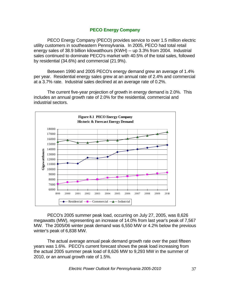#### **PECO Energy Company**

PECO Energy Company (PECO) provides service to over 1.5 million electric utility customers in southeastern Pennsylvania. In 2005, PECO had total retail energy sales of 38.9 billion kilowatthours (KWH) -- up 3.3% from 2004. Industrial sales continued to dominate PECO's market with 40.5% of the total sales, followed by residential (34.6%) and commercial (21.9%).

Between 1990 and 2005 PECO's energy demand grew an average of 1.4% per year. Residential energy sales grew at an annual rate of 2.4% and commercial at a 3.7% rate. Industrial sales declined at an average rate of 0.2%.

The current five-year projection of growth in energy demand is 2.0%. This includes an annual growth rate of 2.0% for the residential, commercial and industrial sectors.



PECO's 2005 summer peak load, occurring on July 27, 2005, was 8,626 megawatts (MW), representing an increase of 14.0% from last year's peak of 7,567 MW. The 2005/06 winter peak demand was 6,550 MW or 4.2% below the previous winter's peak of 6,838 MW.

The actual average annual peak demand growth rate over the past fifteen years was 1.6%. PECO's current forecast shows the peak load increasing from the actual 2005 summer peak load of 8,626 MW to 9,293 MW in the summer of 2010, or an annual growth rate of 1.5%.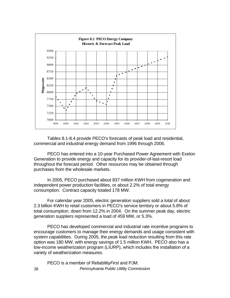

 Tables 8.1-8.4 provide PECO's forecasts of peak load and residential, commercial and industrial energy demand from 1996 through 2006.

PECO has entered into a 10-year Purchased Power Agreement with Exelon Generation to provide energy and capacity for its provider-of-last-resort load throughout the forecast period. Other resources may be obtained through purchases from the wholesale markets.

 In 2005, PECO purchased about 837 million KWH from cogeneration and independent power production facilities, or about 2.2% of total energy consumption. Contract capacity totaled 178 MW.

 For calendar year 2005, electric generation suppliers sold a total of about 2.3 billion KWH to retail customers in PECO's service territory or about 5.8% of total consumption, down from 12.2% in 2004. On the summer peak day, electric generation suppliers represented a load of 459 MW, or 5.3%.

 PECO has developed commercial and industrial rate incentive programs to encourage customers to manage their energy demands and usage consistent with system capabilities. During 2005, the peak load reduction resulting from this rate option was 180 MW, with energy savings of 1.5 million KWH. PECO also has a low-income weatherization program (LIURP), which includes the installation of a variety of weatherization measures.

38 *Pennsylvania Public Utility Commission*  PECO is a member of Reliability*First* and PJM.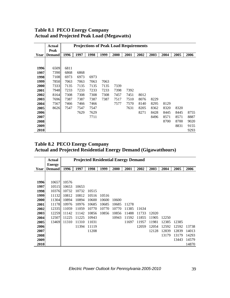## **Table 8.1 PECO Energy Company Actual and Projected Peak Load (Megawatts)**

|      | <b>Actual</b> |      |      | <b>Projections of Peak Load Requirements</b> |      |      |      |      |      |      |      |      |
|------|---------------|------|------|----------------------------------------------|------|------|------|------|------|------|------|------|
|      | Peak          |      |      |                                              |      |      |      |      |      |      |      |      |
| Year | <b>Demand</b> | 1996 | 1997 | 1998                                         | 1999 | 2000 | 2001 | 2002 | 2003 | 2004 | 2005 | 2006 |
|      |               |      |      |                                              |      |      |      |      |      |      |      |      |
|      |               |      |      |                                              |      |      |      |      |      |      |      |      |
| 1996 | 6509          | 6811 |      |                                              |      |      |      |      |      |      |      |      |
| 1997 | 7390          | 6868 | 6868 |                                              |      |      |      |      |      |      |      |      |
| 1998 | 7108          | 6973 | 6973 | 6973                                         |      |      |      |      |      |      |      |      |
| 1999 | 7850          | 7063 | 7063 | 7063                                         | 7063 |      |      |      |      |      |      |      |
| 2000 | 7333          | 7135 | 7135 | 7135                                         | 7135 | 7339 |      |      |      |      |      |      |
| 2001 | 7948          | 7233 | 7233 | 7233                                         | 7233 | 7398 | 7392 |      |      |      |      |      |
| 2002 | 8164          | 7308 | 7308 | 7308                                         | 7308 | 7457 | 7451 | 8012 |      |      |      |      |
| 2003 | 7696          | 7387 | 7387 | 7387                                         | 7387 | 7517 | 7510 | 8076 | 8229 |      |      |      |
| 2004 | 7567          | 7466 | 7466 | 7466                                         |      | 7577 | 7570 | 8140 | 8295 | 8129 |      |      |
| 2005 | 8626          | 7547 | 7547 | 7547                                         |      |      | 7631 | 8205 | 8362 | 8320 | 8320 |      |
| 2006 |               |      | 7629 | 7629                                         |      |      |      | 8271 | 8428 | 8445 | 8445 | 8755 |
| 2007 |               |      |      | 7711                                         |      |      |      |      | 8496 | 8571 | 8571 | 8887 |
| 2008 |               |      |      |                                              |      |      |      |      |      | 8700 | 8700 | 9020 |
| 2009 |               |      |      |                                              |      |      |      |      |      |      | 8831 | 9155 |
| 2010 |               |      |      |                                              |      |      |      |      |      |      |      | 9293 |

# **Table 8.2 PECO Energy Company Actual and Projected Residential Energy Demand (Gigawatthours)**

|      | <b>Actual</b> |       |       | <b>Projected Residential Energy Demand</b> |       |       |       |       |       |       |       |       |
|------|---------------|-------|-------|--------------------------------------------|-------|-------|-------|-------|-------|-------|-------|-------|
|      | <b>Energy</b> |       |       |                                            |       |       |       |       |       |       |       |       |
| Year | <b>Demand</b> | 1996  | 1997  | 1998                                       | 1999  | 2000  | 2001  | 2002  | 2003  | 2004  | 2005  | 2006  |
|      |               |       |       |                                            |       |       |       |       |       |       |       |       |
|      |               |       |       |                                            |       |       |       |       |       |       |       |       |
| 1996 | 10657         | 10576 |       |                                            |       |       |       |       |       |       |       |       |
| 1997 | 10515         | 10653 | 10653 |                                            |       |       |       |       |       |       |       |       |
| 1998 | 10376         | 10732 | 10732 | 10515                                      |       |       |       |       |       |       |       |       |
| 1999 | 11132         | 10812 | 10812 | 10516                                      | 10516 |       |       |       |       |       |       |       |
| 2000 | 11304         | 10894 | 10894 | 10600                                      | 10600 | 10600 |       |       |       |       |       |       |
| 2001 | 11178         | 10976 | 10976 | 10685                                      | 10685 | 10685 | 11278 |       |       |       |       |       |
| 2002 | 12335         | 11059 | 11059 | 10770                                      | 10770 | 10770 | 11385 | 11634 |       |       |       |       |
| 2003 | 12259         | 11142 | 11142 | 10856                                      | 10856 | 10856 | 11488 | 11733 | 12020 |       |       |       |
| 2004 | 12507         | 11225 | 11225 | 10943                                      |       | 10943 | 11592 | 11855 | 11905 | 12250 |       |       |
| 2005 | 13469         | 11310 | 11310 | 11031                                      |       |       | 11697 | 11957 | 11981 | 12385 | 12385 |       |
| 2006 |               |       | 11394 | 11119                                      |       |       |       | 12059 | 12054 | 12592 | 12592 | 13738 |
| 2007 |               |       |       | 11208                                      |       |       |       |       | 12128 | 12839 | 12839 | 14013 |
| 2008 |               |       |       |                                            |       |       |       |       |       | 13179 | 13179 | 14293 |
| 2009 |               |       |       |                                            |       |       |       |       |       |       | 13443 | 14579 |
| 2010 |               |       |       |                                            |       |       |       |       |       |       |       | 14870 |

*Electric Power Outlook for Pennsylvania 2005-2010* 39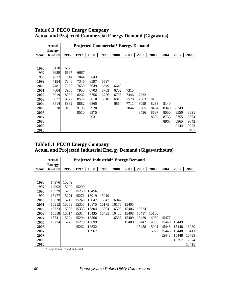|      | <b>Actual</b> |      |      | <b>Projected Commercial* Energy Demand</b> |      |      |      |      |      |      |      |      |
|------|---------------|------|------|--------------------------------------------|------|------|------|------|------|------|------|------|
|      | <b>Energy</b> |      |      |                                            |      |      |      |      |      |      |      |      |
| Year | <b>Demand</b> | 1996 | 1997 | 1998                                       | 1999 | 2000 | 2001 | 2002 | 2003 | 2004 | 2005 | 2006 |
|      |               |      |      |                                            |      |      |      |      |      |      |      |      |
|      |               |      |      |                                            |      |      |      |      |      |      |      |      |
| 1996 | 6410          | 6523 |      |                                            |      |      |      |      |      |      |      |      |
| 1997 | 6689          | 6667 | 6667 |                                            |      |      |      |      |      |      |      |      |
| 1998 | 7012          | 7044 | 7044 | 6643                                       |      |      |      |      |      |      |      |      |
| 1999 | 7154          | 7346 | 7346 | 6597                                       | 6597 |      |      |      |      |      |      |      |
| 2000 | 7481          | 7650 | 7650 | 6649                                       | 6649 | 6649 |      |      |      |      |      |      |
| 2001 | 7604          | 7955 | 7955 | 6703                                       | 6703 | 6702 | 7315 |      |      |      |      |      |
| 2002 | 8019          | 8262 | 8262 | 6756                                       | 6756 | 6756 | 7446 | 7732 |      |      |      |      |
| 2003 | 8077          | 8572 | 8572 | 6810                                       | 6810 | 6810 | 7578 | 7963 | 8135 |      |      |      |
| 2004 | 8414          | 8882 | 8882 | 6865                                       |      | 6864 | 7711 | 8099 | 8233 | 8140 |      |      |
| 2005 | 8520          | 9195 | 9195 | 6920                                       |      |      | 7844 | 8265 | 8434 | 8349 | 8349 |      |
| 2006 |               |      | 9510 | 6975                                       |      |      |      | 8436 | 8637 | 8550 | 8550 | 8691 |
| 2007 |               |      |      | 7031                                       |      |      |      |      | 8839 | 8755 | 8755 | 8864 |
| 2008 |               |      |      |                                            |      |      |      |      |      | 8965 | 8965 | 9042 |
| 2009 |               |      |      |                                            |      |      |      |      |      |      | 9144 | 9223 |
| 2010 |               |      |      |                                            |      |      |      |      |      |      |      | 9407 |

## **Table 8.3 PECO Energy Company Actual and Projected Commercial Energy Demand (Gigawatts)**

## **Table 8.4 PECO Energy Company Actual and Projected Industrial Energy Demand (Gigawatthours)**

|      | <b>Actual</b> |       | <b>Projected Industrial* Energy Demand</b> |       |       |       |       |       |       |       |       |       |
|------|---------------|-------|--------------------------------------------|-------|-------|-------|-------|-------|-------|-------|-------|-------|
|      | <b>Energy</b> |       |                                            |       |       |       |       |       |       |       |       |       |
| Year | <b>Demand</b> | 1996  | 1997                                       | 1998  | 1999  | 2000  | 2001  | 2002  | 2003  | 2004  | 2005  | 2006  |
|      |               |       |                                            |       |       |       |       |       |       |       |       |       |
|      |               |       |                                            |       |       |       |       |       |       |       |       |       |
| 1996 | 14976         | 15249 |                                            |       |       |       |       |       |       |       |       |       |
| 1997 | 14992         | 15299 | 15299                                      |       |       |       |       |       |       |       |       |       |
| 1998 | 15929         | 15259 | 15259                                      | 15456 |       |       |       |       |       |       |       |       |
| 1999 | 15477         | 15271 | 15271                                      | 15919 | 15919 |       |       |       |       |       |       |       |
| 2000 | 15828         | 15248 | 15248                                      | 16047 | 16047 | 16047 |       |       |       |       |       |       |
| 2001 | 15312         | 15353 | 15353                                      | 16175 | 16175 | 16175 | 15405 |       |       |       |       |       |
| 2002 | 15323         | 15333 | 15333                                      | 16304 | 16304 | 16305 | 15406 | 15324 |       |       |       |       |
| 2003 | 15518         | 15314 | 15314                                      | 16435 | 16435 | 16435 | 15408 | 15417 | 15130 |       |       |       |
| 2004 | 15741         | 15294 | 15294                                      | 16566 |       | 16567 | 15409 | 15429 | 14959 | 15477 |       |       |
| 2005 | 15774         | 15278 | 15278                                      | 16699 |       |       | 15409 | 15442 | 14980 | 15448 | 15449 |       |
| 2006 |               |       | 15262                                      | 16832 |       |       |       | 15458 | 15001 | 15448 | 15448 | 16089 |
| 2007 |               |       |                                            | 16967 |       |       |       |       | 15022 | 15448 | 15448 | 16411 |
| 2008 |               |       |                                            |       |       |       |       |       |       | 15448 | 15448 | 16739 |
| 2009 |               |       |                                            |       |       |       |       |       |       |       | 15757 | 17074 |
| 2010 |               |       |                                            |       |       |       |       |       |       |       |       | 17415 |

\* Large Commercial & Industrial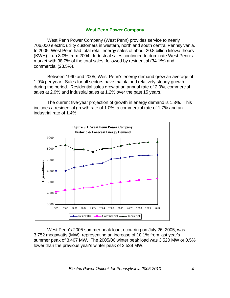#### **West Penn Power Company**

West Penn Power Company (West Penn) provides service to nearly 706,000 electric utility customers in western, north and south central Pennsylvania. In 2005, West Penn had total retail energy sales of about 20.8 billion kilowatthours (KWH) – up 3.0% from 2004. Industrial sales continued to dominate West Penn's market with 38.7% of the total sales, followed by residential (34.1%) and commercial (23.5%).

Between 1990 and 2005, West Penn's energy demand grew an average of 1.9% per year. Sales for all sectors have maintained relatively steady growth during the period. Residential sales grew at an annual rate of 2.0%, commercial sales at 2.9% and industrial sales at 1.2% over the past 15 years.

The current five-year projection of growth in energy demand is 1.3%. This includes a residential growth rate of 1.0%, a commercial rate of 1.7% and an industrial rate of 1.4%.



West Penn's 2005 summer peak load, occurring on July 26, 2005, was 3,752 megawatts (MW), representing an increase of 10.1% from last year's summer peak of 3,407 MW. The 2005/06 winter peak load was 3,520 MW or 0.5% lower than the previous year's winter peak of 3,539 MW.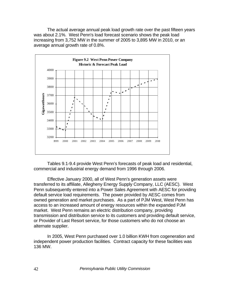The actual average annual peak load growth rate over the past fifteen years was about 2.1%. West Penn's load forecast scenario shows the peak load increasing from 3,752 MW in the summer of 2005 to 3,895 MW in 2010, or an average annual growth rate of 0.8%.



Tables 9.1-9.4 provide West Penn's forecasts of peak load and residential, commercial and industrial energy demand from 1996 through 2006.

Effective January 2000, all of West Penn's generation assets were transferred to its affiliate, Allegheny Energy Supply Company, LLC (AESC). West Penn subsequently entered into a Power Sales Agreement with AESC for providing default service load requirements. The power provided by AESC comes from owned generation and market purchases. As a part of PJM West, West Penn has access to an increased amount of energy resources within the expanded PJM market. West Penn remains an electric distribution company, providing transmission and distribution service to its customers and providing default service, or Provider of Last Resort service, for those customers who do not choose an alternate supplier.

In 2005, West Penn purchased over 1.0 billion KWH from cogeneration and independent power production facilities. Contract capacity for these facilities was 136 MW.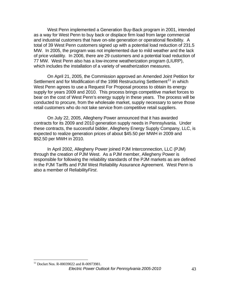West Penn implemented a Generation Buy-Back program in 2001, intended as a way for West Penn to buy back or displace firm load from large commercial and industrial customers that have on-site generation or operational flexibility. A total of 39 West Penn customers signed up with a potential load reduction of 231.5 MW. In 2005, the program was not implemented due to mild weather and the lack of price volatility. In 2006, there are 29 customers and a potential load reduction of 77 MW. West Penn also has a low-income weatherization program (LIURP), which includes the installation of a variety of weatherization measures.

On April 21, 2005, the Commission approved an Amended Joint Petition for Settlement and for Modification of the 1998 Restructuring Settlement<sup>[11](#page-47-0)</sup> in which West Penn agrees to use a Request For Proposal process to obtain its energy supply for years 2009 and 2010. This process brings competitive market forces to bear on the cost of West Penn's energy supply in these years. The process will be conducted to procure, from the wholesale market, supply necessary to serve those retail customers who do not take service from competitive retail suppliers.

On July 22, 2005, Allegheny Power announced that it has awarded contracts for its 2009 and 2010 generation supply needs in Pennsylvania. Under these contracts, the successful bidder, Allegheny Energy Supply Company, LLC, is expected to realize generation prices of about \$45.50 per MWH in 2009 and \$52.50 per MWH in 2010.

In April 2002, Allegheny Power joined PJM Interconnection, LLC (PJM) through the creation of PJM West. As a PJM member, Allegheny Power is responsible for following the reliability standards of the PJM markets as are defined in the PJM Tariffs and PJM West Reliability Assurance Agreement. West Penn is also a member of Reliability*First*.

1

<span id="page-47-0"></span>*Electric Power Outlook for Pennsylvania 2005-2010* 43 <sup>11</sup> Docket Nos. R-00039022 and R-00973981.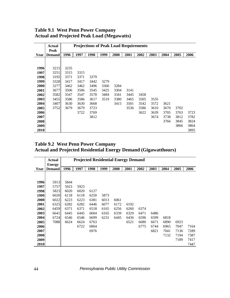|      | <b>Actual</b> |      |      | <b>Projections of Peak Load Requirements</b> |      |      |      |      |      |      |      |      |
|------|---------------|------|------|----------------------------------------------|------|------|------|------|------|------|------|------|
|      | Peak          |      |      |                                              |      |      |      |      |      |      |      |      |
| Year | <b>Demand</b> | 1996 | 1997 | 1998                                         | 1999 | 2000 | 2001 | 2002 | 2003 | 2004 | 2005 | 2006 |
|      |               |      |      |                                              |      |      |      |      |      |      |      |      |
|      |               |      |      |                                              |      |      |      |      |      |      |      |      |
| 1996 | 3215          | 3235 |      |                                              |      |      |      |      |      |      |      |      |
| 1997 | 3251          | 3315 | 3315 |                                              |      |      |      |      |      |      |      |      |
| 1998 | 3192          | 3371 | 3371 | 3379                                         |      |      |      |      |      |      |      |      |
| 1999 | 3328          | 3417 | 3417 | 3442                                         | 3279 |      |      |      |      |      |      |      |
| 2000 | 3277          | 3462 | 3462 | 3496                                         | 3360 | 3284 |      |      |      |      |      |      |
| 2001 | 3677          | 3506 | 3506 | 3545                                         | 3425 | 3304 | 3141 |      |      |      |      |      |
| 2002 | 3582          | 3547 | 3547 | 3578                                         | 3484 | 3341 | 3445 | 3458 |      |      |      |      |
| 2003 | 3455          | 3586 | 3586 | 3617                                         | 3519 | 3380 | 3465 | 3505 | 3535 |      |      |      |
| 2004 | 3407          | 3630 | 3630 | 3668                                         |      | 3415 | 3501 | 3542 | 3572 | 3621 |      |      |
| 2005 | 3752          | 3679 | 3679 | 3723                                         |      |      | 3536 | 3586 | 3610 | 3670 | 3702 |      |
| 2006 |               |      | 3722 | 3769                                         |      |      |      | 3622 | 3639 | 3705 | 3763 | 3723 |
| 2007 |               |      |      | 3812                                         |      |      |      |      | 3674 | 3738 | 3812 | 3782 |
| 2008 |               |      |      |                                              |      |      |      |      |      | 3766 | 3845 | 3824 |
| 2009 |               |      |      |                                              |      |      |      |      |      |      | 3866 | 3864 |
| 2010 |               |      |      |                                              |      |      |      |      |      |      |      | 3895 |

## **Table 9.1 West Penn Power Company Actual and Projected Peak Load (Megawatts)**

#### **Table 9.2 West Penn Power Company Actual and Projected Residential Energy Demand (Gigawatthours)**

|      | <b>Actual</b> |      |      |      |      |      | <b>Projected Residential Energy Demand</b> |      |      |      |      |      |
|------|---------------|------|------|------|------|------|--------------------------------------------|------|------|------|------|------|
|      | <b>Energy</b> |      | 1997 | 1998 | 1999 |      |                                            | 2002 |      | 2004 |      |      |
| Year | <b>Demand</b> | 1996 |      |      |      | 2000 | 2001                                       |      | 2003 |      | 2005 | 2006 |
|      |               |      |      |      |      |      |                                            |      |      |      |      |      |
|      |               |      |      |      |      |      |                                            |      |      |      |      |      |
| 1996 | 5913          | 5844 |      |      |      |      |                                            |      |      |      |      |      |
| 1997 | 5757          | 5923 | 5923 |      |      |      |                                            |      |      |      |      |      |
| 1998 | 5823          | 6020 | 6020 | 6127 |      |      |                                            |      |      |      |      |      |
| 1999 | 6020          | 6118 | 6118 | 6250 | 5873 |      |                                            |      |      |      |      |      |
| 2000 | 6022          | 6223 | 6223 | 6381 | 6013 | 6061 |                                            |      |      |      |      |      |
| 2001 | 6325          | 6282 | 6282 | 6446 | 6077 | 6172 | 6192                                       |      |      |      |      |      |
| 2002 | 6459          | 6371 | 6371 | 6518 | 6165 | 6256 | 6260                                       | 6374 |      |      |      |      |
| 2003 | 6641          | 6445 | 6445 | 6604 | 6165 | 6339 | 6329                                       | 6471 | 6486 |      |      |      |
| 2004 | 6724          | 6546 | 6546 | 6699 | 6231 | 6445 | 6436                                       | 6596 | 6599 | 6818 |      |      |
| 2005 | 7088          | 6624 | 6624 | 6763 |      |      | 6521                                       | 6680 | 6671 | 6890 | 6923 |      |
| 2006 |               |      | 6722 | 6864 |      |      |                                            | 6775 | 6744 | 6965 | 7047 | 7164 |
| 2007 |               |      |      | 6976 |      |      |                                            |      | 6821 | 7041 | 7136 | 7289 |
| 2008 |               |      |      |      |      |      |                                            |      |      | 7132 | 7194 | 7387 |
| 2009 |               |      |      |      |      |      |                                            |      |      |      | 7189 | 7417 |
| 2010 |               |      |      |      |      |      |                                            |      |      |      |      | 7447 |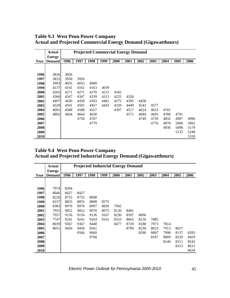**Table 9.3 West Penn Power Company Actual and Projected Commercial Energy Demand (Gigawatthours)**

|      | Actual                         |      |      | <b>Projected Commercial Energy Demand</b> |      |      |      |      |      |      |      |      |
|------|--------------------------------|------|------|-------------------------------------------|------|------|------|------|------|------|------|------|
| Year | <b>Energy</b><br><b>Demand</b> | 1996 | 1997 | 1998                                      | 1999 | 2000 | 2001 | 2002 | 2003 | 2004 | 2005 | 2006 |
|      |                                |      |      |                                           |      |      |      |      |      |      |      |      |
| 1996 | 3836                           | 3856 |      |                                           |      |      |      |      |      |      |      |      |
| 1997 | 3833                           | 3950 | 3950 |                                           |      |      |      |      |      |      |      |      |
| 1998 | 3993                           | 4055 | 4055 | 4080                                      |      |      |      |      |      |      |      |      |
| 1999 | 4137                           | 4161 | 4161 | 4163                                      | 4039 |      |      |      |      |      |      |      |
| 2000 | 4265                           | 4271 | 4271 | 4270                                      | 4215 | 4182 |      |      |      |      |      |      |
| 2001 | 4360                           | 4347 | 4347 | 4339                                      | 4313 | 4225 | 4326 |      |      |      |      |      |
| 2002 | 4497                           | 4430 | 4430 | 4393                                      | 4401 | 4275 | 4395 | 4458 |      |      |      |      |
| 2003 | 4529                           | 4501 | 4501 | 4457                                      | 4443 | 4329 | 4449 | 4543 | 4577 |      |      |      |
| 2004 | 4691                           | 4588 | 4588 | 4557                                      |      | 4397 | 4517 | 4624 | 4653 | 4701 |      |      |
| 2005 | 4892                           | 4664 | 4664 | 4630                                      |      |      | 4571 | 4684 | 4695 | 4780 | 4791 |      |
| 2006 |                                |      | 4756 | 4707                                      |      |      |      | 4749 | 4739 | 4832 | 4907 | 4996 |
| 2007 |                                |      |      | 4779                                      |      |      |      |      | 4776 | 4878 | 5006 | 5092 |
| 2008 |                                |      |      |                                           |      |      |      |      |      | 4936 | 5098 | 5179 |
| 2009 |                                |      |      |                                           |      |      |      |      |      |      | 5135 | 5249 |
| 2010 |                                |      |      |                                           |      |      |      |      |      |      |      | 5318 |

**Table 9.4 West Penn Power Company Actual and Projected Industrial Energy Demand (Gigawatthours)**

|      | Actual        |      | <b>Projected Industrial Energy Demand</b> |      |      |      |      |      |      |      |      |      |
|------|---------------|------|-------------------------------------------|------|------|------|------|------|------|------|------|------|
|      | <b>Energy</b> |      |                                           |      |      |      |      |      |      |      |      |      |
| Year | <b>Demand</b> | 1996 | 1997                                      | 1998 | 1999 | 2000 | 2001 | 2002 | 2003 | 2004 | 2005 | 2006 |
|      |               |      |                                           |      |      |      |      |      |      |      |      |      |
|      |               |      |                                           |      |      |      |      |      |      |      |      |      |
| 1996 | 7974          | 8204 |                                           |      |      |      |      |      |      |      |      |      |
| 1997 | 8046          | 8427 | 8427                                      |      |      |      |      |      |      |      |      |      |
| 1998 | 8226          | 8755 | 8755                                      | 8608 |      |      |      |      |      |      |      |      |
| 1999 | 8237          | 8855 | 8855                                      | 8808 | 8575 |      |      |      |      |      |      |      |
| 2000 | 8383          | 8976 | 8976                                      | 8997 | 8830 | 7942 |      |      |      |      |      |      |
| 2001 | 7955          | 9052 | 9052                                      | 9070 | 8975 | 8120 | 8481 |      |      |      |      |      |
| 2002 | 7957          | 9156 | 9156                                      | 9136 | 9167 | 8230 | 8597 | 8006 |      |      |      |      |
| 2003 | 7747          | 9241 | 9241                                      | 9264 | 9161 | 8353 | 8663 | 8116 | 7885 |      |      |      |
| 2004 | 8039          | 9367 | 9367                                      | 9448 |      | 8477 | 8729 | 8188 | 7973 | 7814 |      |      |
| 2005 | 8051          | 9450 | 9450                                      | 9561 |      |      | 8799 | 8230 | 8023 | 7913 | 8027 |      |
| 2006 |               |      | 9566                                      | 9660 |      |      |      | 8290 | 8087 | 7998 | 8137 | 8283 |
| 2007 |               |      |                                           | 9768 |      |      |      |      | 8187 | 8069 | 8220 | 8429 |
| 2008 |               |      |                                           |      |      |      |      |      |      | 8140 | 8311 | 8543 |
| 2009 |               |      |                                           |      |      |      |      |      |      |      | 8313 | 8615 |
| 2010 |               |      |                                           |      |      |      |      |      |      |      |      | 8634 |

*Electric Power Outlook for Pennsylvania 2005-2010* 45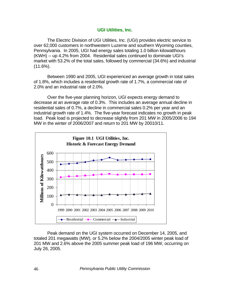#### **UGI Utilities, Inc.**

 The Electric Division of UGI Utilities, Inc. (UGI) provides electric service to over 62,000 customers in northwestern Luzerne and southern Wyoming counties, Pennsylvania. In 2005, UGI had energy sales totaling 1.0 billion kilowatthours (KWH) -- up 4.2% from 2004. Residential sales continued to dominate UGI's market with 53.2% of the total sales, followed by commercial (34.6%) and industrial (11.6%).

Between 1990 and 2005, UGI experienced an average growth in total sales of 1.8%, which includes a residential growth rate of 1.7%, a commercial rate of 2.0% and an industrial rate of 2.0%.

 Over the five-year planning horizon, UGI expects energy demand to decrease at an average rate of 0.3%. This includes an average annual decline in residential sales of 0.7%, a decline in commercial sales 0.2% per year and an industrial growth rate of 1.4%. The five-year forecast indicates no growth in peak load. Peak load is projected to decrease slightly from 201 MW in 2005/2006 to 194 MW in the winter of 2006/2007 and return to 201 MW by 20010/11.



 Peak demand on the UGI system occurred on December 14, 2005, and totaled 201 megawatts (MW), or 5.2% below the 2004/2005 winter peak load of 201 MW and 2.6% above the 2005 summer peak load of 196 MW, occurring on July 26, 2005.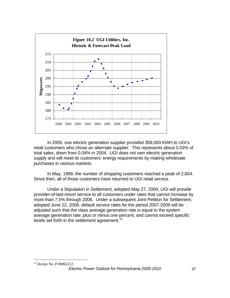

In 2005, one electric generation supplier provided 359,000 KWH to UGI's retail customers who chose an alternate supplier. This represents about 0.03% of total sales, down from 0.04% in 2004. UGI does not own electric generation supply and will meet its customers' energy requirements by making wholesale purchases in various markets.

 In May, 1999, the number of shopping customers reached a peak of 2,604. Since then, all of those customers have returned to UGI retail service.

Under a Stipulation in Settlement, adopted May 27, 2004, UGI will provide provider-of-last-resort service to all customers under rates that cannot increase by more than 7.5% through 2006. Under a subsequent Joint Petition for Settlement, adopted June 22, 2006, default service rates for the period 2007-2009 will be adjusted such that the class average generation rate is equal to the system average generation rate, plus or minus one percent, and cannot exceed specific levels set forth in the settlement agreement.<sup>[12](#page-51-0)</sup>

<span id="page-51-0"></span> $\overline{a}$ 12 Docket No. P-00062212.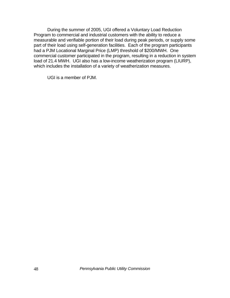During the summer of 2005, UGI offered a Voluntary Load Reduction Program to commercial and industrial customers with the ability to reduce a measurable and verifiable portion of their load during peak periods, or supply some part of their load using self-generation facilities. Each of the program participants had a PJM Locational Marginal Price (LMP) threshold of \$200/MWH. One commercial customer participated in the program, resulting in a reduction in system load of 21.4 MWH. UGI also has a low-income weatherization program (LIURP), which includes the installation of a variety of weatherization measures.

UGI is a member of PJM.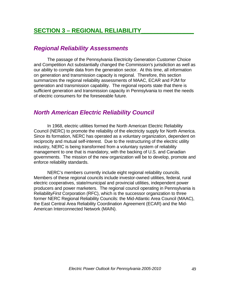# **SECTION 3 – REGIONAL RELIABILITY**

# *Regional Reliability Assessments*

The passage of the Pennsylvania Electricity Generation Customer Choice and Competition Act substantially changed the Commission's jurisdiction as well as our ability to compile data from the generation sector. At this time, all information on generation and transmission capacity is regional. Therefore, this section summarizes the regional reliability assessments of MAAC, ECAR and PJM for generation and transmission capability. The regional reports state that there is sufficient generation and transmission capacity in Pennsylvania to meet the needs of electric consumers for the foreseeable future.

# *North American Electric Reliability Council*

 In 1968, electric utilities formed the North American Electric Reliability Council (NERC) to promote the reliability of the electricity supply for North America. Since its formation, NERC has operated as a voluntary organization, dependent on reciprocity and mutual self-interest. Due to the restructuring of the electric utility industry, NERC is being transformed from a voluntary system of reliability management to one that is mandatory, with the backing of U.S. and Canadian governments. The mission of the new organization will be to develop, promote and enforce reliability standards.

 NERC's members currently include eight regional reliability councils. Members of these regional councils include investor-owned utilities, federal, rural electric cooperatives, state/municipal and provincial utilities, independent power producers and power marketers. The regional council operating in Pennsylvania is Reliability*First* Corporation (RFC), which is the successor organization to three former NERC Regional Reliability Councils: the Mid-Atlantic Area Council (MAAC), the East Central Area Reliability Coordination Agreement (ECAR) and the Mid-American Interconnected Network (MAIN).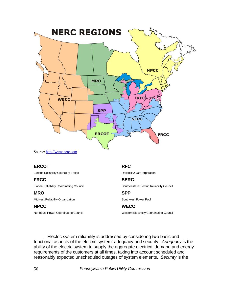

Source: [http://www.nerc.com](http://www.nerc.com/)

#### **ERCOT**

Electric Reliability Council of Texas

#### **FRCC**

Florida Reliability Coordinating Council

#### **MRO**

Midwest Reliability Organization

#### **NPCC**

Northeast Power Coordinating Council

#### **RFC**

Reliability*First* Corporation

## **SERC**

Southeastern Electric Reliability Council

#### **SPP**  Southwest Power Pool

## **WECC**

Western Electricity Coordinating Council

Electric system reliability is addressed by considering two basic and functional aspects of the electric system: adequacy and security. *Adequacy* is the ability of the electric system to supply the aggregate electrical demand and energy requirements of the customers at all times, taking into account scheduled and reasonably expected unscheduled outages of system elements. *Security* is the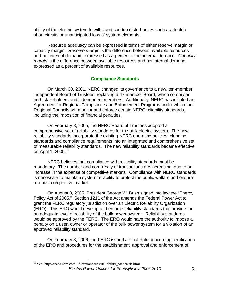ability of the electric system to withstand sudden disturbances such as electric short circuits or unanticipated loss of system elements.

Resource adequacy can be expressed in terms of either reserve margin or capacity margin. *Reserve margin* is the difference between available resources and net internal demand, expressed as a percent of net internal demand. *Capacity margin* is the difference between available resources and net internal demand, expressed as a percent of available resources.

### **Compliance Standards**

 On March 30, 2001, NERC changed its governance to a new, ten-member independent Board of Trustees, replacing a 47-member Board, which comprised both stakeholders and independent members. Additionally, NERC has initiated an Agreement for Regional Compliance and Enforcement Programs under which the Regional Councils will monitor and enforce certain NERC reliability standards, including the imposition of financial penalties.

 On February 8, 2005, the NERC Board of Trustees adopted a comprehensive set of reliability standards for the bulk electric system. The new reliability standards incorporate the existing NERC operating policies, planning standards and compliance requirements into an integrated and comprehensive set of measurable reliability standards. The new reliability standards became effective on April 1, 2005.<sup>[13](#page-55-0)</sup>

NERC believes that compliance with reliability standards must be mandatory. The number and complexity of transactions are increasing, due to an increase in the expanse of competitive markets. Compliance with NERC standards is necessary to maintain system reliability to protect the public welfare and ensure a robust competitive market.

On August 8, 2005, President George W. Bush signed into law the "Energy Policy Act of 2005." Section 1211 of the Act amends the Federal Power Act to grant the FERC regulatory jurisdiction over an Electric Reliability Organization (ERO). This ERO would develop and enforce reliability standards that provide for an adequate level of reliability of the bulk power system. Reliability standards would be approved by the FERC. The ERO would have the authority to impose a penalty on a user, owner or operator of the bulk power system for a violation of an approved reliability standard.

 On February 3, 2006, the FERC issued a Final Rule concerning certification of the ERO and procedures for the establishment, approval and enforcement of

1

<span id="page-55-0"></span>*Electric Power Outlook for Pennsylvania 2005-2010* 51 <sup>13</sup> See: http://www.nerc.com/~filez/standards/Reliability\_Standards.html.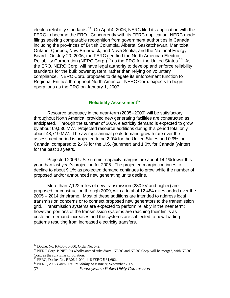electric reliability standards.<sup>[14](#page-56-0)</sup> On April 4, 2006, NERC filed its application with the FERC to become the ERO. Concurrently with its FERC application, NERC made filings seeking comparable recognition from government authorities in Canada, including the provinces of British Columbia, Alberta, Saskatchewan, Manitoba, Ontario, Quebec, New Brunswick, and Nova Scotia, and the National Energy Board. On July 20, 2006, the FERC certified the North American Electric Reliability Corporation (NERC Corp.)<sup>[15](#page-56-1)</sup> as the ERO for the United States.<sup>[16](#page-56-2)</sup> As the ERO, NERC Corp. will have legal authority to develop and enforce reliability standards for the bulk power system, rather than relying on voluntary compliance. NERC Corp. proposes to delegate its enforcement function to Regional Entities throughout North America. NERC Corp. expects to begin operations as the ERO on January 1, 2007.

## **Reliability Assessment[17](#page-56-3)**

 Resource adequacy in the near-term (2005--2009) will be satisfactory throughout North America, provided new generating facilities are constructed as anticipated. Through the summer of 2009, electricity demand is expected to grow by about 69,536 MW. Projected resource additions during this period total only about 48,719 MW. The average annual peak demand growth rate over the assessment period is projected to be 2.0% for the United States and 0.9% for Canada, compared to 2.4% for the U.S. (summer) and 1.0% for Canada (winter) for the past 10 years.

Projected 2006 U.S. summer capacity margins are about 14.1% lower this year than last year's projection for 2006. The projected margin continues to decline to about 9.1% as projected demand continues to grow while the number of proposed and/or announced new generating units decline.

More than 7,122 miles of new transmission (230 kV and higher) are proposed for construction through 2009, with a total of 12,484 miles added over the 2005 – 2014 timeframe. Most of these additions are intended to address local transmission concerns or to connect proposed new generators to the transmission grid. Transmission systems are expected to perform reliably in the near term; however, portions of the transmission systems are reaching their limits as customer demand increases and the systems are subjected to new loading patterns resulting from increased electricity transfers.

 $\overline{a}$ 

<sup>14</sup> Docket No. RM05-30-000; Order No. 672.

<span id="page-56-1"></span><span id="page-56-0"></span><sup>&</sup>lt;sup>15</sup> NERC Corp. is NERC's wholly-owned subsidiary. NERC and NERC Corp. will be merged, with NERC

<span id="page-56-2"></span>Corp. as the surviving corporation.<br><sup>16</sup> FERC, Docket No. RR06-1-000, 116 FERC ¶ 61,602.

<span id="page-56-3"></span><sup>&</sup>lt;sup>17</sup> NERC, 2005 Long-Term Reliability Assessment, September 2005.

<sup>52</sup> *Pennsylvania Public Utility Commission*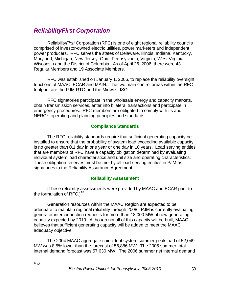# *ReliabilityFirst Corporation*

Reliability*First* Corporation (RFC) is one of eight regional reliability councils comprised of investor-owned electric utilities, power marketers and independent power producers. RFC serves the states of Delaware, Illinois, Indiana, Kentucky, Maryland, Michigan, New Jersey, Ohio, Pennsylvania, Virginia, West Virginia, Wisconsin and the District of Columbia. As of April 26, 2006, there were 43 Regular Members and 19 Associate Members.

RFC was established on January 1, 2006, to replace the reliability oversight functions of MAAC, ECAR and MAIN. The two main control areas within the RFC footprint are the PJM RTO and the Midwest ISO.

RFC signatories participate in the wholesale energy and capacity markets, obtain transmission services, enter into bilateral transactions and participate in emergency procedures. RFC members are obligated to comply with its and NERC's operating and planning principles and standards.

#### **Compliance Standards**

The RFC reliability standards require that sufficient generating capacity be installed to ensure that the probability of system load exceeding available capacity is no greater than 0.1 day in one year or one day in 10 years. Load serving entities that are members of RFC have a capacity obligation determined by evaluating individual system load characteristics and unit size and operating characteristics. These obligation reserves must be met by all load-serving entities in PJM as signatories to the Reliability Assurance Agreement.

#### **Reliability Assessment**

[These reliability assessments were provided by MAAC and ECAR prior to the formulation of RFC. $1^{18}$  $1^{18}$  $1^{18}$ 

Generation resources within the MAAC Region are expected to be adequate to maintain regional reliability through 2008. PJM is currently evaluating generator interconnection requests for more than 18,000 MW of new generating capacity expected by 2010. Although not all of this capacity will be built, MAAC believes that sufficient generating capacity will be added to meet the MAAC adequacy objective.

The 2004 MAAC aggregate coincident system summer peak load of 52,049 MW was 8.5% lower than the forecast of 56,886 MW. The 2005 summer total internal demand forecast was 57,630 MW. The 2006 summer net internal demand

<span id="page-57-0"></span><sup>1</sup>  $^{18}$  Id.

*Electric Power Outlook for Pennsylvania 2005-2010* 53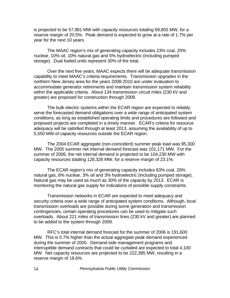is projected to be 57,981 MW with capacity resources totaling 69,855 MW, for a reserve margin of 20.5%. Peak demand is expected to grow at a rate of 1.7% per year for the next 10 years.

The MAAC region's mix of generating capacity includes 23% coal, 20% nuclear, 10% oil, 10% natural gas and 5% hydroelectric (including pumped storage). Dual fueled units represent 30% of the total.

Over the next five years, MAAC expects there will be adequate transmission capability to meet MAAC's criteria requirements. Transmission upgrades in the northern New Jersey area for the years 2008-2010 are under evaluation to accommodate generator retirements and maintain transmission system reliability within the applicable criteria. About 134 transmission circuit miles (230 kV and greater) are proposed for construction through 2009.

 The bulk electric systems within the ECAR region are expected to reliably serve the forecasted demand obligations over a wide range of anticipated system conditions, as long as established operating limits and procedures are followed and proposed projects are completed in a timely manner. ECAR's criteria for resource adequacy will be satisfied through at least 2013, assuming the availability of up to 5,550 MW of capacity resources outside the ECAR region.

The 2004 ECAR aggregate (non-coincident) summer peak load was 95,300 MW. The 2005 summer net internal demand forecast was 101,171 MW. For the summer of 2006, the net internal demand is projected to be 104,230 MW with capacity resources totaling 128,326 MW, for a reserve margin of 23.1%.

 The ECAR region's mix of generating capacity includes 63% coal, 26% natural gas, 6% nuclear, 3% oil and 3% hydroelectric (including pumped storage). Natural gas may be used as much as 30% of the capacity by 2013. ECAR is monitoring the natural gas supply for indications of possible supply constraints.

 Transmission networks in ECAR are expected to meet adequacy and security criteria over a wide range of anticipated system conditions. Although, local transmission overloads are possible during some generation and transmission contingencies, certain operating procedures can be used to mitigate such overloads. About 221 miles of transmission lines (230 kV and greater) are planned to be added to the system through 2009.

RFC's total internal demand forecast for the summer of 2006 is 191,600 MW. This is 0.7% higher than the actual aggregate peak demand experienced during the summer of 2005. Demand-side management programs and interruptible demand contracts that could be curtailed are expected to total 4,100 MW. Net capacity resources are projected to be 222,395 MW, resulting in a reserve margin of 18.6%.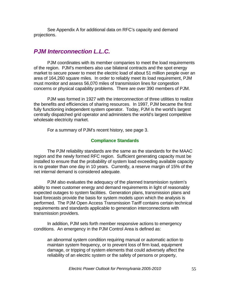See Appendix A for additional data on RFC's capacity and demand projections.

# *PJM Interconnection L.L.C.*

PJM coordinates with its member companies to meet the load requirements of the region. PJM's members also use bilateral contracts and the spot energy market to secure power to meet the electric load of about 51 million people over an area of 164,260 square miles. In order to reliably meet its load requirement, PJM must monitor and assess 56,070 miles of transmission lines for congestion concerns or physical capability problems. There are over 390 members of PJM.

PJM was formed in 1927 with the interconnection of three utilities to realize the benefits and efficiencies of sharing resources. In 1997, PJM became the first fully functioning independent system operator. Today, PJM is the world's largest centrally dispatched grid operator and administers the world's largest competitive wholesale electricity market.

For a summary of PJM's recent history, see page 3.

#### **Compliance Standards**

 The PJM reliability standards are the same as the standards for the MAAC region and the newly formed RFC region. Sufficient generating capacity must be installed to ensure that the probability of system load exceeding available capacity is no greater than one day in 10 years. Currently, a reserve margin of 15% of the net internal demand is considered adequate.

PJM also evaluates the adequacy of the planned transmission system's ability to meet customer energy and demand requirements in light of reasonably expected outages to system facilities. Generation plans, transmission plans and load forecasts provide the basis for system models upon which the analysis is performed. The PJM Open Access Transmission Tariff contains certain technical requirements and standards applicable to generation interconnections with transmission providers.

In addition, PJM sets forth member responsive actions to emergency conditions. An emergency in the PJM Control Area is defined as:

 an abnormal system condition requiring manual or automatic action to maintain system frequency, or to prevent loss of firm load, equipment damage, or tripping of system elements that could adversely affect the reliability of an electric system or the safety of persons or property,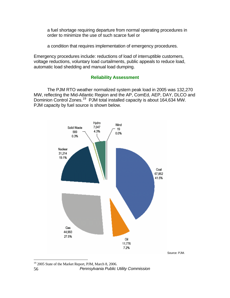a fuel shortage requiring departure from normal operating procedures in order to minimize the use of such scarce fuel or

a condition that requires implementation of emergency procedures.

Emergency procedures include: reductions of load of interruptible customers, voltage reductions, voluntary load curtailments, public appeals to reduce load, automatic load shedding and manual load dumping.

### **Reliability Assessment**

The PJM RTO weather normalized system peak load in 2005 was 132,270 MW, reflecting the Mid-Atlantic Region and the AP, ComEd, AEP, DAY, DLCO and Dominion Control Zones.<sup>[19](#page-60-0)</sup> PJM total installed capacity is about 164,634 MW. PJM capacity by fuel source is shown below.



Source: PJM.

<sup>1</sup> <sup>19</sup> 2005 State of the Market Report, PJM, March 8, 2006.

<span id="page-60-0"></span><sup>56</sup> *Pennsylvania Public Utility Commission*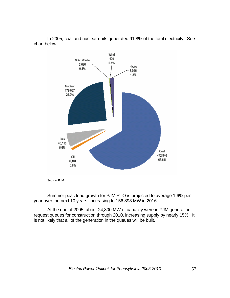

In 2005, coal and nuclear units generated 91.8% of the total electricity. See chart below.

Summer peak load growth for PJM RTO is projected to average 1.6% per year over the next 10 years, increasing to 156,893 MW in 2016.

At the end of 2005, about 24,300 MW of capacity were in PJM generation request queues for construction through 2010, increasing supply by nearly 15%. It is not likely that all of the generation in the queues will be built.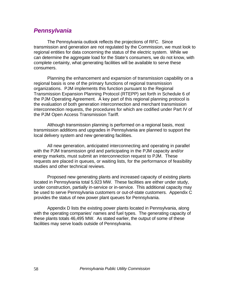# *Pennsylvania*

The Pennsylvania outlook reflects the projections of RFC. Since transmission and generation are not regulated by the Commission, we must look to regional entities for data concerning the status of the electric system. While we can determine the aggregate load for the State's consumers, we do not know, with complete certainty, what generating facilities will be available to serve these consumers.

Planning the enhancement and expansion of transmission capability on a regional basis is one of the primary functions of regional transmission organizations. PJM implements this function pursuant to the Regional Transmission Expansion Planning Protocol (RTEPP) set forth in Schedule 6 of the [PJM Operating Agreement](http://www.pjm.com/documents/downloads/agreements/oa.pdf). A key part of this regional planning protocol is the evaluation of both generation interconnection and merchant transmission interconnection requests, the procedures for which are codified under Part IV of the [PJM Open Access Transmission Tariff](http://www.pjm.com/documents/downloads/agreements/tariff.pdf).

Although transmission planning is performed on a regional basis, most transmission additions and upgrades in Pennsylvania are planned to support the local delivery system and new generating facilities.

 All new generation, anticipated interconnecting and operating in parallel with the PJM transmission grid and participating in the PJM capacity and/or energy markets, must submit an interconnection request to PJM. These requests are placed in queues, or waiting lists, for the performance of feasibility studies and other technical reviews.

Proposed new generating plants and increased capacity of existing plants located in Pennsylvania total 5,923 MW. These facilities are either under study, under construction, partially in-service or in-service. This additional capacity may be used to serve Pennsylvania customers or out-of-state customers. Appendix C provides the status of new power plant queues for Pennsylvania.

 Appendix D lists the existing power plants located in Pennsylvania, along with the operating companies' names and fuel types. The generating capacity of these plants totals 46,495 MW. As stated earlier, the output of some of these facilities may serve loads outside of Pennsylvania.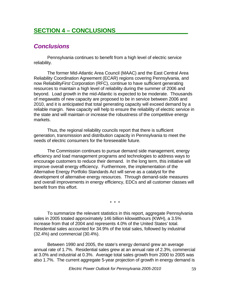# **SECTION 4 – CONCLUSIONS\_\_\_\_\_\_\_\_\_\_\_\_\_\_\_\_\_\_\_\_\_\_**

# *Conclusions*

Pennsylvania continues to benefit from a high level of electric service reliability.

 The former Mid-Atlantic Area Council (MAAC) and the East Central Area Reliability Coordination Agreement (ECAR) regions covering Pennsylvania, and now Reliability*First* Corporation (RFC), continue to have sufficient generating resources to maintain a high level of reliability during the summer of 2006 and beyond. Load growth in the mid-Atlantic is expected to be moderate. Thousands of megawatts of new capacity are proposed to be in service between 2006 and 2010, and it is anticipated that total generating capacity will exceed demand by a reliable margin. New capacity will help to ensure the reliability of electric service in the state and will maintain or increase the robustness of the competitive energy markets.

 Thus, the regional reliability councils report that there is sufficient generation, transmission and distribution capacity in Pennsylvania to meet the needs of electric consumers for the foreseeable future.

The Commission continues to pursue demand side management, energy efficiency and load management programs and technologies to address ways to encourage customers to reduce their demand. In the long term, this initiative will improve overall energy efficiency. Furthermore, the implementation of the Alternative Energy Portfolio Standards Act will serve as a catalyst for the development of alternative energy resources. Through demand-side measures and overall improvements in energy efficiency, EDCs and all customer classes will benefit from this effort.

\* \* \*

To summarize the relevant statistics in this report, aggregate Pennsylvania sales in 2005 totaled approximately 146 billion kilowatthours (KWH), a 3.5% increase from that of 2004 and represents 4.0% of the United States' total. Residential sales accounted for 34.9% of the total sales, followed by industrial (32.4%) and commercial (30.4%).

Between 1990 and 2005, the state's energy demand grew an average annual rate of 1.7%. Residential sales grew at an annual rate of 2.3%, commercial at 3.0% and industrial at 0.3%. Average total sales growth from 2000 to 2005 was also 1.7%. The current aggregate 5-year projection of growth in energy demand is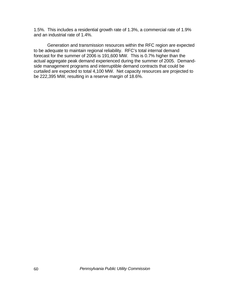1.5%. This includes a residential growth rate of 1.3%, a commercial rate of 1.9% and an industrial rate of 1.4%.

Generation and transmission resources within the RFC region are expected to be adequate to maintain regional reliability. RFC's total internal demand forecast for the summer of 2006 is 191,600 MW. This is 0.7% higher than the actual aggregate peak demand experienced during the summer of 2005. Demandside management programs and interruptible demand contracts that could be curtailed are expected to total 4,100 MW. Net capacity resources are projected to be 222,395 MW, resulting in a reserve margin of 18.6%.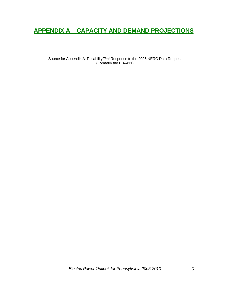# **APPENDIX A – CAPACITY AND DEMAND PROJECTIONS**

Source for Appendix A: Reliability*First* Response to the 2006 NERC Data Request (Formerly the EIA-411)

*Electric Power Outlook for Pennsylvania 2005-2010* 61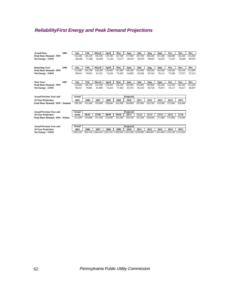# *ReliabilityFirst Energy and Peak Demand Projections*

| 140,500<br><b>Peak Hour Demand - MW</b><br>154,200<br>140.100<br>119,700<br>127,500<br>177,900<br>187,700<br>190,200<br>167,200<br>140,000<br>136,300<br><b>Net Energy - GWH</b><br>88,588<br>77,288<br>82,403<br>71,542<br>73,177<br>89,597<br>96.979<br>99,067<br>83,597<br>77,267<br>76,686<br>Feb.<br>2006<br>Jan.<br>March<br>April<br>May<br>June<br>July<br>Sept.<br>Oct.<br>Nov.<br><b>Reporting Year:</b><br>Aug.<br>145,700<br>138,300<br>180,300<br>191,600<br>188,500<br><b>Peak Hour Demand - MW</b><br>151,600<br>126,600<br>147,400<br>164,500<br>130,500<br>139,100<br>89,041<br>78,841<br>81,031<br>73,224<br>84,865<br>94,348<br>93,724<br>77,280<br>77,672<br>Net Energy - GWH<br>76,393<br>79.111 | 153,600<br>89,035<br>Dec. |
|-----------------------------------------------------------------------------------------------------------------------------------------------------------------------------------------------------------------------------------------------------------------------------------------------------------------------------------------------------------------------------------------------------------------------------------------------------------------------------------------------------------------------------------------------------------------------------------------------------------------------------------------------------------------------------------------------------------------------|---------------------------|
|                                                                                                                                                                                                                                                                                                                                                                                                                                                                                                                                                                                                                                                                                                                       |                           |
|                                                                                                                                                                                                                                                                                                                                                                                                                                                                                                                                                                                                                                                                                                                       |                           |
|                                                                                                                                                                                                                                                                                                                                                                                                                                                                                                                                                                                                                                                                                                                       |                           |
|                                                                                                                                                                                                                                                                                                                                                                                                                                                                                                                                                                                                                                                                                                                       |                           |
|                                                                                                                                                                                                                                                                                                                                                                                                                                                                                                                                                                                                                                                                                                                       | 151,800                   |
|                                                                                                                                                                                                                                                                                                                                                                                                                                                                                                                                                                                                                                                                                                                       | 87,213                    |
|                                                                                                                                                                                                                                                                                                                                                                                                                                                                                                                                                                                                                                                                                                                       |                           |
|                                                                                                                                                                                                                                                                                                                                                                                                                                                                                                                                                                                                                                                                                                                       |                           |
| 2007<br>Feb.<br><b>Next Year:</b><br>Jan.<br>March<br>April<br>May<br>June<br>July<br>Sept.<br>Oct.<br>Nov.<br>Aug.                                                                                                                                                                                                                                                                                                                                                                                                                                                                                                                                                                                                   | Dec.                      |
| <b>Peak Hour Demand - MW</b><br>154,800<br>148,700<br>141.300<br>129,400<br>183,000<br>193,900<br>190,800<br>166,200<br>150,100<br>132,300<br>140,500                                                                                                                                                                                                                                                                                                                                                                                                                                                                                                                                                                 | 153,200                   |
| 90,327<br>79,881<br>81,900<br>74,216<br>85,701<br>95,543<br>94,758<br>79,875<br>78,117<br>78,517<br><b>Net Energy - GWH</b><br>77,463                                                                                                                                                                                                                                                                                                                                                                                                                                                                                                                                                                                 | 88,067                    |
|                                                                                                                                                                                                                                                                                                                                                                                                                                                                                                                                                                                                                                                                                                                       |                           |
|                                                                                                                                                                                                                                                                                                                                                                                                                                                                                                                                                                                                                                                                                                                       |                           |
| <b>Actual Previous Year and</b><br>Projected<br>Actual                                                                                                                                                                                                                                                                                                                                                                                                                                                                                                                                                                                                                                                                |                           |
| 2007<br>2005<br>2006<br>2008<br>2009<br>2010<br>2011<br>2012<br>2013<br>2014<br>2015<br><b>10 Year Projection:</b>                                                                                                                                                                                                                                                                                                                                                                                                                                                                                                                                                                                                    |                           |
| 190,200<br><b>Peak Hour Demand - MW - Summer</b><br>191,600<br>193,900<br>198,600<br>201.900<br>204,800<br>207,800<br>210,700<br>214,500<br>220,400<br>217,600                                                                                                                                                                                                                                                                                                                                                                                                                                                                                                                                                        |                           |
|                                                                                                                                                                                                                                                                                                                                                                                                                                                                                                                                                                                                                                                                                                                       |                           |
|                                                                                                                                                                                                                                                                                                                                                                                                                                                                                                                                                                                                                                                                                                                       |                           |
| <b>Actual Previous Year and</b><br>Projected<br>Actual<br>05/06<br>06/07<br>07/08<br>08/09<br>09/10<br>12/13<br>13/14<br>14/15<br>15/16<br>11/12<br>10/11                                                                                                                                                                                                                                                                                                                                                                                                                                                                                                                                                             |                           |
| <b>10 Year Projection:</b><br>Peak Hour Demand - MW - Winter<br>151,600<br>171.900                                                                                                                                                                                                                                                                                                                                                                                                                                                                                                                                                                                                                                    |                           |
| 154,800<br>164,700<br>157,300<br>159,900<br>162,200<br>167,300<br>169,600<br>173,900<br>176,200                                                                                                                                                                                                                                                                                                                                                                                                                                                                                                                                                                                                                       |                           |
|                                                                                                                                                                                                                                                                                                                                                                                                                                                                                                                                                                                                                                                                                                                       |                           |
| <b>Actual Previous Year and</b><br>Projected<br>Actual                                                                                                                                                                                                                                                                                                                                                                                                                                                                                                                                                                                                                                                                |                           |
|                                                                                                                                                                                                                                                                                                                                                                                                                                                                                                                                                                                                                                                                                                                       |                           |
| 2007<br>2008<br>2005<br>2006<br>2009<br>2010<br>2011<br>2012<br>2013<br>2014<br>2015<br><b>10 Year Projection:</b>                                                                                                                                                                                                                                                                                                                                                                                                                                                                                                                                                                                                    |                           |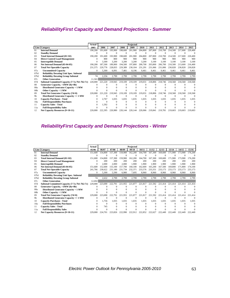#### *ReliabilityFirst Capacity and Demand Projections - Summer*

|                  |                                                 | Actual   | Projected |              |          |          |          |          |          |          |         |          |
|------------------|-------------------------------------------------|----------|-----------|--------------|----------|----------|----------|----------|----------|----------|---------|----------|
| Line             | Category                                        | 2005     | 2006      | 2007         | 2008     | 2009     | 2010     | 2011     | 2012     | 2013     | 2014    | 2015     |
| 01               | <b>Internal Demand</b>                          | 190,200  | 191.600   | 193,900      | 198,600  | 201,900  | 204,800  | 207,800  | 210,700  | 214,500  | 217,600 | 220,400  |
| 02               | <b>Standby Demand</b>                           | $\Omega$ | $\Omega$  | $\Omega$     | $\Omega$ | $\Omega$ | $\Omega$ | $\Omega$ | $\Omega$ |          |         |          |
| 03               | Total Internal Demand (01+02)                   | 190.200  | 191.600   | 193,900      | 198,600  | 201,900  | 204,800  | 207,800  | 210,700  | 214,500  | 217,600 | 220,400  |
| 04               | <b>Direct Control Load Management</b>           | $\Omega$ | 800       | 800          | 900      | 900      | 900      | 900      | 900      | 900      | 900     | 900      |
| 05               | <b>Interruptible Demand</b>                     | $\Omega$ | 3,300     | 3.200        | 3.200    | 3.200    | 3.200    | 3.100    | 3.100    | 3.100    | 3.100   | 3.100    |
| 06               | Net Internal Demand (03-04-05)                  | 190,200  | 187.500   | 189,900      | 194.500  | 197.800  | 200,700  | 203,800  | 206,700  | 210,500  | 213,600 | 216,400  |
| 07               | <b>Total Net Operable Capacity</b>              | 231,575  | 229,776   | 228,835      | 229.389  | 230,104  | 231,291  | 231.066  | 231.006  | 230,828  | 230,828 | 230,828  |
| 07a              | <b>Uncommitted Capacity</b>                     | $\Omega$ | 5,300     | 6.091        | 7.481    | 8,196    | 9,461    | 9.461    | 9.461    | 9,461    | 9,461   | 9.461    |
| 07 <sub>b1</sub> | <b>Reliability Derating Unit Spec. Subtotal</b> |          |           |              |          |          |          |          |          |          |         |          |
| 07 <sub>b2</sub> | <b>Reliability Derating Group Subtotal</b>      | 74       | 2,256     | 2.799        | 2.799    | 2.799    | 2,799    | 2.799    | 2,799    | 2,799    | 2,799   | 2,799    |
| 07c              | <b>Other Generation</b>                         | 11,501   |           |              |          |          |          |          |          |          |         |          |
| 07d              | Subtotal Committed Capacity (7-7a-7b1-7b2-7c)   | 220,000  | 221,220   | 219,945      | 219,109  | 219,109  | 219,031  | 218,806  | 218,746  | 218,568  | 218,568 | 218,568  |
| 08               | Generator Capacity, <1MW (8a+8b)                | 0        |           | $\Omega$     | $\Omega$ | $\Omega$ |          | 0        |          | 0        |         |          |
| 08a              | Distributed Generator Capacity < 1 MW           |          | $\Omega$  | $\Omega$     | $\Omega$ | $\Omega$ | $\Omega$ | $\Omega$ | $\Omega$ | $\Omega$ |         |          |
| 08 <sub>b</sub>  | Other Capacity < 1 MW                           |          |           | $\Omega$     |          | $\Omega$ |          | $\Omega$ |          |          |         |          |
| 09               | Total Net Generator Capacity (7d+8)             | 220,000  | 221.220   | 219,945      | 219,109  | 219.109  | 219,031  | 218,806  | 218,746  | 218.568  | 218,568 | 218,568  |
| 9b               | Distributed Generator Capacity >= 1 MW          | $\Omega$ | $\Omega$  | $\mathbf{0}$ | $\Omega$ | $\Omega$ | $\Omega$ | $\Omega$ | $\Omega$ | 0        |         | $\Omega$ |
| 10               | <b>Capacity Purchases - Total</b>               | $\Omega$ | 2.767     | 1.035        | 1.035    | 1.035    | 1.035    | 1.035    | 1.035    | 1.035    | 1.035   | 1.035    |
| 10a              | <b>Full Responsibility Purchases</b>            | $\Omega$ | $\Omega$  | $\Omega$     | $\Omega$ | $\Omega$ | 0        | $\Omega$ | 0        | 0        |         |          |
| 11               | <b>Capacity Sales - Total</b>                   | $\Omega$ | 1,592     | $\Omega$     | $\Omega$ | $\Omega$ | $\Omega$ | $\Omega$ | $\Omega$ | $\Omega$ |         | $^{0}$   |
| 11a              | <b>Full Responsibility Sales</b>                |          | $\Omega$  | $\Omega$     | $\Omega$ | $\Omega$ |          | $\Omega$ |          | $\Omega$ |         |          |
| 12               | Net Capacity Resources (9+10-11)                | 220,000  | 222.395   | 220,980      | 220,144  | 220,144  | 220,066  | 219,841  | 219,781  | 219,603  | 219,603 | 219,603  |

### *ReliabilityFirst Capacity and Demand Projections - Winter*

|                  |                                                 | Actual   | Projected |          |          |          |          |          |          |          |         |         |
|------------------|-------------------------------------------------|----------|-----------|----------|----------|----------|----------|----------|----------|----------|---------|---------|
|                  | <b>Line Category</b>                            | 05/06    | 06/07     | 07/08    | 08/09    | 09/10    | 10/11    | 11/12    | 12/13    | 13/14    | 14/15   | 15/16   |
| 01               | <b>Internal Demand</b>                          | 151,600  | 154,800   | 157,300  | 159,900  | 162,200  | 164,700  | 167,300  | 169,600  | 171.900  | 173,900 | 176,200 |
| 02               | <b>Standby Demand</b>                           | 0        | $\Omega$  | $\Omega$ | $\Omega$ | $\Omega$ | $\Omega$ | $\Omega$ | $\Omega$ | $\Omega$ | 0       |         |
| 03               | Total Internal Demand (01+02)                   | 151,600  | 154.800   | 157,300  | 159,900  | 162,200  | 164,700  | 167,300  | 169,600  | 171.900  | 173,900 | 176,200 |
| 04               | <b>Direct Control Load Management</b>           | $\Omega$ | 200       | 200      | 200      | 200      | 200      | 200      | 200      | 200      | 200     | 200     |
| 05               | <b>Interruptible Demand</b>                     | $\Omega$ | 2,000     | 2,000    | 2,000    | 1,900    | 1,900    | 1,900    | 1.900    | 1.900    | 1,900   | 1,900   |
| 06               | Net Internal Demand (03-04-05)                  | 151,600  | 152,600   | 155,100  | 157,700  | 160.100  | 162,600  | 165,200  | 167,500  | 169.800  | 171.800 | 174,100 |
| 07               | <b>Total Net Operable Capacity</b>              | 241.766  | 238.622   | 231.180  | 231.734  | 232,371  | 233,576  | 233.351  | 233.173  | 233.173  | 233.173 | 233,173 |
| 07a              | <b>Uncommitted Capacity</b>                     | $\Omega$ | 5,300     | 5,590    | 6,980    | 7,695    | 8,960    | 8,960    | 8,960    | 8.960    | 8,960   | 8,960   |
| 07b1             | <b>Reliability Derating Unit Spec. Subtotal</b> |          |           |          |          |          |          |          |          |          |         |         |
| 07 <sub>b2</sub> | <b>Reliability Derating Group Subtotal</b>      | 74       | 2,632     | 2,799    | 2,799    | 2,799    | 2,799    | 2,799    | 2,799    | 2,799    | 2,799   | 2,799   |
| 07c              | <b>Other Generation</b>                         | 12,692   |           |          |          |          |          |          |          |          |         |         |
| 07d              | Subtotal Committed Capacity (7-7a-7b1-7b2-7c)   | 229,000  | 223,690   | 222,791  | 221,955  | 221,877  | 221,817  | 221,592  | 221,414  | 221.414  | 221,414 | 221.414 |
| 08               | Generator Capacity, <1MW (8a+8b)                |          | $\Omega$  | $\Omega$ | $\Omega$ | 0        |          |          |          |          |         |         |
| 08a              | Distributed Generator Capacity < 1 MW           |          | $\Omega$  | $\Omega$ | $\Omega$ | $\Omega$ | $\Omega$ | $\Omega$ | $\Omega$ | $\Omega$ |         |         |
| 08 <sub>b</sub>  | Other Capacity < 1 MW                           |          | $\Omega$  | $\Omega$ | $\Omega$ | $\Omega$ |          |          |          |          |         |         |
| 09               | Total Net Generator Capacity (7d+8)             | 229,000  | 223,690   | 222,791  | 221,955  | 221,877  | 221,817  | 221,592  | 221,414  | 221.414  | 221.414 | 221.414 |
| 9b               | Distributed Generator Capacity >= 1 MW          | 0        | $\Omega$  | $\Omega$ | $\Omega$ | $\Omega$ | $\Omega$ | $\Omega$ | $\Omega$ | O        |         |         |
| 10               | <b>Capacity Purchases - Total</b>               | 0        | 1,756     | 1.035    | 1,035    | 1.035    | 1,035    | 1.035    | 1,035    | 1,035    | 1,035   | 1.035   |
| 10a              | <b>Full Responsibility Purchases</b>            | 0        | $\Omega$  | $\Omega$ | $^{0}$   | $\Omega$ | $\Omega$ | $\Omega$ | $\Omega$ | 0        |         |         |
| 11               | <b>Capacity Sales - Total</b>                   | 0        | 745       | $\Omega$ | $\Omega$ | $\Omega$ |          | 0        | $\Omega$ |          |         |         |
| 11a              | <b>Full Responsibility Sales</b>                | O        | $\Omega$  | $\Omega$ | $\Omega$ | C        |          |          |          |          |         |         |
| 12               | Net Capacity Resources (9+10-11)                | 229,000  | 224,701   | 223,826  | 222,990  | 222,912  | 222,852  | 222,627  | 222,449  | 222,449  | 222,449 | 222,449 |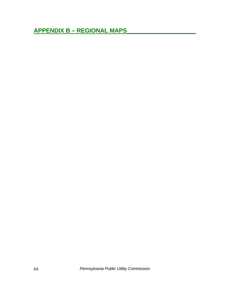```
APPENDIX B – REGIONAL MAPS_____________________
```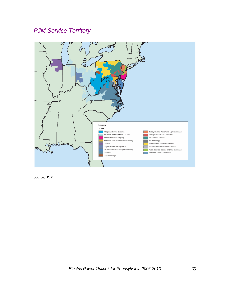# *PJM Service Territory*



Source: PJM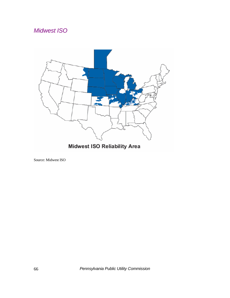# *Midwest ISO*



Midwest ISO Reliability Area

Source: Midwest ISO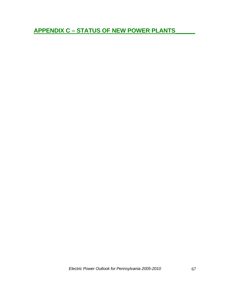**APPENDIX C – STATUS OF NEW POWER PLANTS\_\_\_\_\_\_**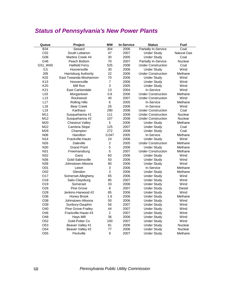## *Status of Pennsylvania's New Power Plants*

| Queue           | Project                | <b>MW</b>        | <b>In-Service</b> | <b>Status</b>               | <b>Fuel</b>        |
|-----------------|------------------------|------------------|-------------------|-----------------------------|--------------------|
| <b>B34</b>      | Seward                 | 304              | 2006              | Partially In-Service        | Coal               |
| CO <sub>2</sub> | South Lebanon          | 47               | 2007              | <b>Under Study</b>          | <b>Natural Gas</b> |
| G06             | Martins Creek #4       | 30               | 2005              | <b>Under Study</b>          | Coal               |
| G46             | Peach Bottom           | 70               | 2007              | <b>Partially In-Service</b> | Nuclear            |
| G51_W60         | <b>Hatfield Ferry</b>  | 525              | 2008              | <b>Under Construction</b>   | Coal               |
| 113             | Hooversville           | 30               | 2006              | <b>Under Study</b>          | Wind               |
| J09             | Harrisburg Authority   | 22               | 2006              | <b>Under Construction</b>   | Methane            |
| K02             | East Towanda-Moshannon | 70               | 2006              | <b>Under Study</b>          | Wind               |
| K <sub>13</sub> | Hooversville           | $\boldsymbol{7}$ | 2006              | <b>Under Study</b>          | Wind               |
| K20             | Mill Run               | 3                | 2005              | <b>Under Study</b>          | Wind               |
| K21             | East Carbondale        | 13               | 2004              | In-Service                  | Wind               |
| L <sub>03</sub> | Morgantown             | 0.8              | 2006              | <b>Under Construction</b>   | Methane            |
| L13             | Rockwood               | 40               | 2007              | <b>Under Construction</b>   | Wind               |
| L17             | <b>Rolling Hills</b>   | 6                | 2005              | In-Service                  | Methane            |
| L18             | <b>Bear Creek</b>      | 26               | 2006              | In-Service                  | Wind               |
| L <sub>19</sub> | Karthaus               | 290              | 2008              | <b>Under Construction</b>   | Coal               |
| M11             | Susquehanna #1         | 111              | 2008              | <b>Under Construction</b>   | Nuclear            |
| M12             | Susquehanna #2         | 107              | 2008              | <b>Under Construction</b>   | <b>Nuclear</b>     |
| M20             | <b>Chestnut Valley</b> | 5                | 2006              | <b>Under Study</b>          | Methane            |
| M22             | Cambria Slope          | 125              | 2007              | <b>Under Study</b>          | Coal               |
| M26             | Champion               | 272              | 2008              | <b>Under Study</b>          | Coal               |
| N <sub>06</sub> | Hamilton               | 0.047            | 2005              | In-Service                  | Methane            |
| N <sub>14</sub> | Frackville-Hauto       | 24               | 2006              | <b>Under Study</b>          | Wind               |
| N <sub>26</sub> | Daleville              | 2                | 2005              | <b>Under Construction</b>   | Methane            |
| N30             | <b>Grand Point</b>     | 5                | 2006              | <b>Under Study</b>          | Methane            |
| N31             | Freemansburg           | 5                | 2007              | <b>Under Construction</b>   | Methane            |
| N32             | Gans                   | 60               | 2006              | <b>Under Study</b>          | Wind               |
| N36             | Gold-Sabinsville       | 50               | 2006              | <b>Under Study</b>          | Wind               |
| N39             | Johnstown-Altoona      | 80               | 2006              | <b>Under Study</b>          | Wind               |
| O01             | Letort                 | 3                | 2006              | In-Service                  | Methane            |
| O02             | Glendon                | 3                | 2006              | <b>Under Study</b>          | Methane            |
| O <sub>17</sub> | Somerset-Allegheny     | 65               | 2006              | <b>Under Study</b>          | Wind               |
| O18             | Salix-Claysburg        | 85               | 2007              | <b>Under Study</b>          | Wind               |
| O19             | Somerset               | 33               | 2006              | <b>Under Study</b>          | Wind               |
| O <sub>26</sub> | Pine Grove             | 8                | 2007              | <b>Under Study</b>          | <b>Diesel</b>      |
| O28             | Jenkins-Harwood #2     | 85               | 2006              | <b>Under Study</b>          | Wind               |
| O36             | Honey Brook            | 1.6              | 2006              | <b>Under Study</b>          | Methane            |
| O38             | Johnstown-Altoona      | 50               | 2006              | <b>Under Study</b>          | Wind               |
| O39             | Sunbury-Dauphin        | 56               | 2007              | <b>Under Study</b>          | Wind               |
| O40             | Pine Grove-Frailey     | 44               | 2007              | <b>Under Study</b>          | Wind               |
| O46             | Frackville-Hauto #3    | $\overline{2}$   | 2007              | <b>Under Study</b>          | Wind               |
| O48             | Hays Mill              | 36               | 2006              | <b>Under Study</b>          | Wind               |
| O <sub>52</sub> | Gold-Potter Co         | 100              | 2007              | <b>Under Study</b>          | Wind               |
| O53             | Beaver Valley #1       | 81               | 2006              | <b>Under Study</b>          | <b>Nuclear</b>     |
| O <sub>54</sub> | Beaver Valley #2       | 77               | 2006              | <b>Under Study</b>          | <b>Nuclear</b>     |
| O <sub>55</sub> | Peckville              | 9                | 2007              | <b>Under Study</b>          | Methane            |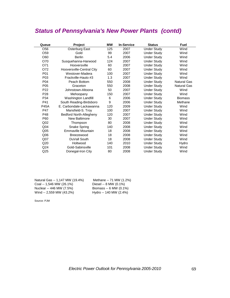## *Status of Pennsylvania's New Power Plants (contd)*

| Queue           | <b>Project</b>                 | <b>MW</b> | <b>In-Service</b> | <b>Status</b>      | <b>Fuel</b>        |
|-----------------|--------------------------------|-----------|-------------------|--------------------|--------------------|
| O56             | Osterburg East                 | 125       | 2007              | <b>Under Study</b> | Wind               |
| O <sub>59</sub> | Gold                           | 99        | 2007              | <b>Under Study</b> | Wind               |
| O60             | <b>Berlin</b>                  | 5.4       | 2006              | <b>Under Study</b> | Wind               |
| O70             | Susquehanna-Harwood            | 124       | 2007              | <b>Under Study</b> | Wind               |
| O71             | Hooversville                   | 60        | 2007              | <b>Under Study</b> | Wind               |
| O72             | Hooversville-Central City      | 60        | 2007              | <b>Under Study</b> | Wind               |
| P01             | Westover-Madera                | 100       | 2007              | <b>Under Study</b> | Wind               |
| P03             | Frackville-Hauto #3            | 1.3       | 2007              | <b>Under Study</b> | Wind               |
| P04             | Peach Bottom                   | 550       | 2008              | <b>Under Study</b> | Natural Gas        |
| P <sub>05</sub> | Graceton                       | 550       | 2008              | <b>Under Study</b> | <b>Natural Gas</b> |
| P <sub>22</sub> | Johnstown-Altoona              | 50        | 2007              | <b>Under Study</b> | Wind               |
| P <sub>28</sub> | Mehoopany                      | 150       | 2007              | <b>Under Study</b> | Wind               |
| P34             | Washington Landfill            | 6         | 2006              | <b>Under Study</b> | <b>Biomass</b>     |
| P41             | South Reading-Birdsboro        | 9         | 2006              | <b>Under Study</b> | Methane            |
| <b>P45A</b>     | E. Carbondale-Lackawanna       | 120       | 2009              | <b>Under Study</b> | Wind               |
| P47             | Mansfield-S. Troy              | 100       | 2007              | <b>Under Study</b> | Wind               |
| P48             | <b>Bedford North-Allegheny</b> | 120       | 2007              | <b>Under Study</b> | Wind               |
| P60             | New Baltimore                  | 30        | 2007              | <b>Under Study</b> | Wind               |
| Q <sub>02</sub> | Thompson                       | 80        | 2008              | <b>Under Study</b> | Wind               |
| Q <sub>04</sub> | Snake Spring                   | 140       | 2008              | <b>Under Study</b> | Wind               |
| Q <sub>05</sub> | Emmaville Mountain             | 18        | 2008              | <b>Under Study</b> | Wind               |
| Q <sub>06</sub> | Breezewood                     | 18        | 2008              | <b>Under Study</b> | Wind               |
| Q <sub>07</sub> | DuVall South                   | 18        | 2008              | <b>Under Study</b> | Wind               |
| Q20             | Holtwood                       | 140       | 2010              | <b>Under Study</b> | Hydro              |
| Q <sub>24</sub> | Gold-Sabinsville               | 101       | 2008              | <b>Under Study</b> | Wind               |
| Q <sub>25</sub> | Donegal-Iron City              | 80        | 2008              | <b>Under Study</b> | Wind               |

| Natural Gas -- 1,147 MW (19.4%) | Methane -- 71 MW (1.2%) |
|---------------------------------|-------------------------|
| Coal -- 1,546 MW (26.1%)        | Diesel -- 8 MW (0.1%)   |
| Nuclear -- 446 MW (7.5%)        | Biomass -- 6 MW (0.1%)  |
| Wind -- 2,559 MW (43.2%)        | Hydro -- 140 MW (2.4%)  |

Source: PJM

*Electric Power Outlook for Pennsylvania 2005-2010* 69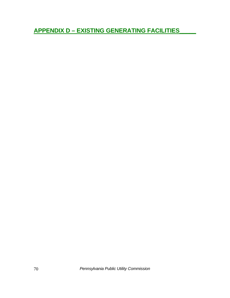**APPENDIX D - EXISTING GENERATING FACILITIES** 

Pennsylvania Public Utility Commission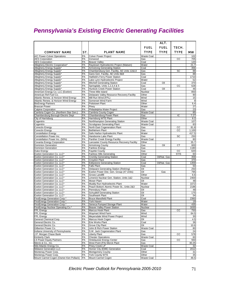## *Pennsylvania's Existing Electric Generating Facilities*

|                                                                |          |                                                                     |                                        | ALT.         |             |             |  |
|----------------------------------------------------------------|----------|---------------------------------------------------------------------|----------------------------------------|--------------|-------------|-------------|--|
|                                                                |          |                                                                     | <b>FUEL</b>                            | <b>FUEL</b>  | TECH.       |             |  |
| <b>COMPANY NAME</b>                                            | ST.      | <b>PLANT NAME</b>                                                   | TYPE                                   | <b>TYPE</b>  | <b>TYPE</b> | <b>MW</b>   |  |
| A/C Power-Colver Operations                                    | PA       | <b>Colver Power Project</b>                                         | Waste Coal                             |              |             | 102         |  |
| <b>AES Corporation</b>                                         | PA       | Ironwood                                                            | Gas                                    |              | CС          | 705         |  |
| <b>AES Corporation</b>                                         | PA       | <b>Beaver Valley</b>                                                | Coal                                   |              |             | 120         |  |
| Allegheny Electric Cooperative*                                | PA       | Raystown Hydroelectric Project (Matsen)                             | Water                                  |              |             | 21.7        |  |
| Allegheny Energy Supply'                                       | PA       | Armstrong Generating Station                                        | Coal                                   |              |             | 356         |  |
| Allegheny Energy Supply*                                       | PA       | Chambersburg Gen. Facility, AE Units 12&13                          | Gas                                    |              | SC          | 88          |  |
| Allegheny Energy Supply'<br>Allegheny Energy Supply'           | PA<br>PA | Gans Gen. Facility, AE Units 8&9<br>Hatfield's Ferry Power Station  | Gas<br>Coal                            |              |             | 88<br>1710  |  |
| Allegheny Energy Supply'                                       | PA       | Lake Lynn Hydroelectric Project                                     | Water                                  |              |             | 52          |  |
| Allegheny Energy Supply'                                       | PA       | <b>Mitchell Generating Station</b>                                  | Coal                                   | Oil          |             | 370         |  |
| Allegheny Energy Supply'                                       | PA       | Springdale, Units 1,2,3,4 & 5                                       | Gas                                    |              | CС          | 628         |  |
| Allegheny Energy Supply*                                       | PA       | Hunlock Creek Power Station                                         | Coal                                   | Oil          |             | 46          |  |
| AmerGen Energy Co. LLC (Exelon)                                | PA       | Three Mile Island                                                   | Nuclear                                |              |             | 850         |  |
| American Ref-Fuel Co.<br>Atlantic Renew. & Horizon Wind Energy | PA<br>PA | Delaware Valley Resource Recovery Facility<br>Mill Run Wind (FPL)   | Other<br>Wind                          |              |             | 90<br>15    |  |
| Atlantic Renew. & Horizon Wind Energy                          | PA       | Somerset Wind Farm                                                  | Wind                                   |              |             | 9           |  |
| <b>BioEnergy Partners</b>                                      | PA       | Pottstown Plant                                                     | Other                                  |              |             | 6.4         |  |
| <b>Brascan Power</b>                                           | PA       | Piney                                                               | Water                                  |              |             | 27          |  |
| <b>Calpine Corporation</b>                                     | PA       | Philadelphia Water Project                                          | Gas                                    |              |             | 23          |  |
| Cambria Cogen Co. (Northern Star Gen.)                         | PA       | Cambria County Cogen                                                | <b>Waste Coal</b>                      |              |             | 85          |  |
| Chambersburg Borough Electric Dept                             | PA       | Chambersburg Power Plant                                            | Gas                                    |              | IC          | 7.27        |  |
| City of Harrisburg                                             | PA       | Harrisburg WTE Plant                                                | Other                                  |              |             | 8.2         |  |
| Cogentrix                                                      | PA<br>PA | Northhampton Generating Station                                     | <b>Waste Coal</b><br><b>Waste Coal</b> |              |             | 107<br>83   |  |
| Cogentrix<br><b>Conectiv Energy</b>                            | PA       | <b>Scrubgrass Generating Plant</b><br>North East Cogeneration Plant | Gas                                    |              | CC          | 81.8        |  |
| <b>Conectiv Energy</b>                                         | PA       | <b>Bethlehem Plant</b>                                              | Gas                                    |              | CC          | 1,100       |  |
| <b>Constellation Energy</b>                                    | PA       | Safe Harbor Hydroelectric Plant                                     | Water                                  |              |             | 417.5       |  |
| Constellation Power Inc.                                       | PA       | Handsome Lake Plant                                                 | Gas                                    |              | SC          | 250         |  |
| Constellation Power Inc. (50%)                                 | PA       | Panther Creek Energy Facility                                       | <b>Waste Coal</b>                      |              |             | 80          |  |
| Covanta Energy Corporation                                     | PA       | Lancaster County Resource Recovery Facility                         | Other                                  |              |             | 35.7        |  |
| <b>Dominion Generation</b>                                     | PA       | <b>Armstrong County</b>                                             | Gas                                    | Oil          | СT          | 600         |  |
| <b>Dominion Generation</b><br><b>Duke Energy</b>               | PA<br>PA | <b>Fairless Energy</b><br><b>Fayette County</b>                     | Gas<br>Gas                             |              | CС          | 1180<br>620 |  |
| Exelon Generation Co. LLC*                                     | PA       | <b>Fairless Hills Generating</b>                                    | Other                                  |              | ST/S        | 60          |  |
| Exelon Generation Co. LLC*                                     | PA       | <b>Cromby Generating Station</b>                                    | Coal                                   | Oil/Nat. Gas |             | 358         |  |
| Exelon Generation Co. LLC'                                     | PA       | Croydon Plant                                                       | Gas                                    |              |             | 370         |  |
| Exelon Generation Co. LLC*                                     | PA       | <b>Eddystone Generating Station</b>                                 | Coal                                   | Oil/Nat. Gas |             | 1359        |  |
| Exelon Generation Co. LLC*                                     | PA       | <b>Falls Plant</b>                                                  | Gas                                    |              |             | 50          |  |
| Exelon Generation Co. LLC*                                     | PA       | Delaware Generating Station (Retiring)                              | Oil                                    |              |             | 250         |  |
| Exelon Generation Co. LLC'<br>Exelon Generation Co. LLC*       | PA<br>PA | Exelon Power Dist. Gen. Group (47 Units)<br>Grows Landfill          | Oil<br>Other                           | Gas          |             | 795<br>6.6  |  |
| Exelon Generation Co. LLC*                                     | PA       | Limerick Nuclear Gen. Station, Units 1&2                            | Nuclear                                |              |             | 2400        |  |
| Exelon Generation Co. LLC*                                     | PA       | <b>Moser Plant</b>                                                  | Oil                                    |              |             | 48          |  |
| Exelon Generation Co. LLC*                                     | PA       | Muddy Run Hydroelectric Plant                                       | Water                                  |              |             | 1072        |  |
| Exelon Generation Co. LLC*                                     | PA       | Peach Bottom Atomic Power St., Units 2&3                            | Nuclear                                |              |             | 2186        |  |
| Exelon Generation Co. LLC*                                     | PA       | Pennsbury Plant                                                     | Oil                                    |              |             | 48          |  |
| Exelon Generation Co. LLC*                                     | PA<br>PA | <b>Schuylkill Generating Station</b>                                | Oil                                    |              |             | 175         |  |
| Exelon Generation Co. LLC*<br>FirstEnergy Generation Corp.*    | PA       | Southwark Plant<br><b>Bruce Mansfield Plant</b>                     | Oil<br>Coal                            |              |             | 54<br>2360  |  |
| FirstEnergy Generation Corp.                                   | PA       | York Haven                                                          | Water                                  |              |             | 19          |  |
| FirstEnergy Generation Corp.*                                  | PA       | Seneca Pumped Storage Plant                                         | Water                                  |              |             | 435         |  |
| FirstEnergy Nuclear Operating Co.*                             | PA       | <b>Beaver Valley Power Station</b>                                  | Nuclear                                |              |             | 1630        |  |
| <b>FPL Energy</b>                                              | PA       | Marcus Hook Plant                                                   | Gas                                    |              | СC          | 750         |  |
| <b>FPL</b> Energy                                              | PA       | Waymart Wind Farm                                                   | Wind                                   |              |             | 64.5        |  |
| <b>FPL Energy</b>                                              | PA       | Meyersdale Wind Power Project                                       | Wind                                   |              |             | 30          |  |
| General Chemical Corp.<br>General Electric Co.                 | PA<br>PA | Marcus Hook Cogen<br>Erie Works Plant                               | Oil<br>Coal                            |              |             | 4.5<br>36   |  |
| General Electric Co.                                           | PA       | Grove City Plant                                                    | Oil                                    |              |             | 10.6        |  |
| Gilberton Power Co.                                            | PA       | John B Rich Power Station                                           | Waste Coal                             |              |             | 80          |  |
| Indiana University of Pennsylvania                             | PA       | S.W. Jack Cogeneration Plant                                        | Gas                                    |              |             | 24          |  |
| J.P. Morgan Chase Bank                                         | PA       | Liberty Plant                                                       | Gas                                    |              | CС          | 578         |  |
| <b>Kimberly Clark</b>                                          | PA       | <b>Chester Operations</b>                                           | Waste Coal                             |              |             | 60          |  |
| <b>LS Power Equity Partners</b>                                | PA       | Ontelaunee Energy Center                                            | Gas                                    |              | CС          | 550         |  |
| Merck & Co., Inc.                                              | PA       | West Point (PA) Merck Plant                                         | Gas                                    |              |             | 30.25       |  |
| Mid-Atlantic Energy Co.<br><b>Midwest Generation LLC</b>       | PA<br>PA | Piney Creek LP<br>Homer City (EME) Generation                       | Waste Coal<br>Coal                     |              |             | 32<br>2012  |  |
| Montenay Power Corp.                                           | PA       | <b>Montgomery County</b>                                            | Other                                  |              |             | 31          |  |
| Montenay Power Corp.                                           | PA       | York County WTE                                                     | Other                                  |              |             | 35          |  |
| Mount Carmel Cogen (Owner-Ken Pollack)                         | PA       | Mount Carmel Cogen                                                  | <b>Waste Coal</b>                      |              |             | 46.5        |  |

*Electric Power Outlook for Pennsylvania 2005-2010* 71